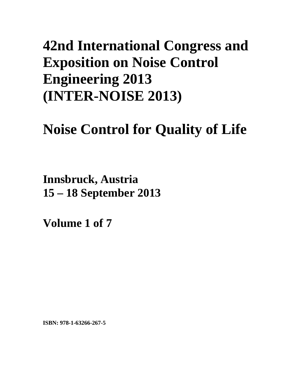# **42nd International Congress and Exposition on Noise Control Engineering 2013 (INTER-NOISE 2013)**

# **Noise Control for Quality of Life**

**Innsbruck, Austria 15 – 18 September 2013**

**Volume 1 of 7** 

**ISBN: 978-1-63266-267-5**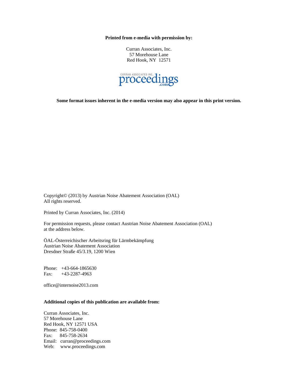**Printed from e-media with permission by:** 

Curran Associates, Inc. 57 Morehouse Lane Red Hook, NY 12571



**Some format issues inherent in the e-media version may also appear in this print version.** 

Copyright© (2013) by Austrian Noise Abatement Association (OAL) All rights reserved.

Printed by Curran Associates, Inc. (2014)

For permission requests, please contact Austrian Noise Abatement Association (OAL) at the address below.

ÖAL-Österreichischer Arbeitsring für Lärmbekämpfung Austrian Noise Abatement Association Dresdner Straße 45/3.19, 1200 Wien

Phone: +43-664-1865630 Fax: +43-2287-4963

office@internoise2013.com

# **Additional copies of this publication are available from:**

Curran Associates, Inc. 57 Morehouse Lane Red Hook, NY 12571 USA Phone: 845-758-0400 Fax: 845-758-2634 Email: curran@proceedings.com Web: www.proceedings.com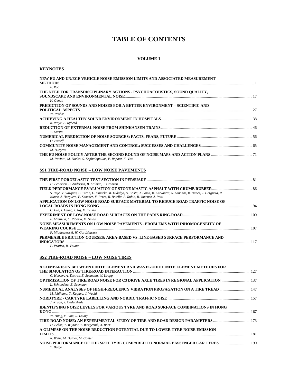# **TABLE OF CONTENTS**

### **VOLUME 1**

# **KEYNOTES**

| NEW EU AND UN/ECE VEHICLE NOISE EMISSION LIMITS AND ASSOCIATED MEASUREMENT<br><b>METHODS</b>                                                                                                                          |  |
|-----------------------------------------------------------------------------------------------------------------------------------------------------------------------------------------------------------------------|--|
| $F$ . Roo                                                                                                                                                                                                             |  |
| THE NEED FOR TRANSDISCIPLINARY ACTIONS - PSYCHOACOUSTICS, SOUND QUALITY,                                                                                                                                              |  |
| K. Genuit                                                                                                                                                                                                             |  |
| PREDICTION OF SOUNDS AND NOISES FOR A BETTER ENVIRONMENT – SCIENTIFIC AND                                                                                                                                             |  |
| W. Probst                                                                                                                                                                                                             |  |
| K. Waye, E. Ryherd                                                                                                                                                                                                    |  |
| T. Kurita                                                                                                                                                                                                             |  |
| O. Estorff                                                                                                                                                                                                            |  |
| M. Burgess                                                                                                                                                                                                            |  |
| M. Paviotti, M. Dodds, S. Kephalopoulos, P. Rapacz, K. Vos                                                                                                                                                            |  |
| <b>SS1 TIRE-ROAD NOISE - LOW NOISE PAVEMENTS</b>                                                                                                                                                                      |  |
|                                                                                                                                                                                                                       |  |
| H. Bendtsen, B. Andersen, B. Kalman, J. Cesbron                                                                                                                                                                       |  |
| S. Paje, V. Vazques, F. Teran, U. Vinuela, M. Hidalgo, A. Costa, J. Loma, R. Cervantes, S. Lanchas, R. Nunez, J. Hergueta, R.<br>Nunez, J. Hergueta, F. Sanchez, F. Perez, R. Botella, B. Rubio, R. Jimenez, J. Potti |  |
| APPLICATION ON LOW NOISE ROAD SURFACE MATERIAL TO REDUCE ROAD TRAFFIC NOISE OF                                                                                                                                        |  |
|                                                                                                                                                                                                                       |  |
| C. Lee, J. Leung, I. Ng, M. Yeung                                                                                                                                                                                     |  |
| F. Mietlicki, C. Ribeiro, M. Sineau                                                                                                                                                                                   |  |
| NOISE MEASUREMENTS ON LOW NOISE PAVEMENTS - PROBLEMS WITH INHOMOGENEITY OF                                                                                                                                            |  |
|                                                                                                                                                                                                                       |  |
| P. Mioduszewski, W. Gardziejczyk                                                                                                                                                                                      |  |
| PERMEABLE FRICTION COURSES: AREA-BASED VS. LINE-BASED SURFACE PERFORMANCE AND                                                                                                                                         |  |
| F. Pratico, R. Vaiana                                                                                                                                                                                                 |  |
|                                                                                                                                                                                                                       |  |

# **SS2 TIRE-ROAD NOISE – LOW NOISE TIRES**

| A COMPARISON BETWEEN FINITE ELEMENT AND WAVEGUIDE FINITE ELEMENT METHODS FOR                                             |     |
|--------------------------------------------------------------------------------------------------------------------------|-----|
| C. Hoever, A. Tsotras, E. Saemann, W. Kropp                                                                              |     |
| <b>OPTIMIZATION OF TIRE/ROAD NOISE FOR C3 DRIVE AXLE TIRES IN REGIONAL APPLICATION  137</b><br>L. Schnieders, E. Saemann |     |
| NUMERICAL ANALYSES OF HIGH-FREQUENCY VIBRATION PROPAGATION ON A TIRE TREAD  147<br>M. Ishihama, T. Kagaya, J. Wachi      |     |
| J. Kragh, J. Oddershede                                                                                                  |     |
| <b>IDENTIFYING NOISE LEVELS FOR VARIOUS TYRE AND ROAD SURFACE COMBINATIONS IN HONG</b>                                   |     |
|                                                                                                                          | 167 |
| W. Hung, Y. Lam, R. Leung                                                                                                |     |
| D. Bekke, Y. Wijnant, T. Weegerink, A. Boer                                                                              |     |
| A GLIMPSE ON THE NOISE REDUCTION POTENTIAL DUE TO LOWER TYRE NOISE EMISSION                                              |     |
| <b>LIMITS</b>                                                                                                            | 181 |
| R. Wehr, M. Haider, M. Conter                                                                                            |     |
| 190 NOISE PERFORMANCE OF THE SRTT TYRE COMPARED TO NORMAL PASSENGER CAR TYRES  190                                       |     |
| T. Berge                                                                                                                 |     |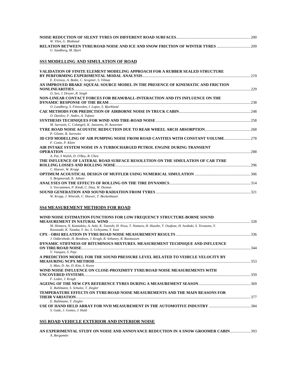|                                                                            | 200 |
|----------------------------------------------------------------------------|-----|
| W. Vliet. G. Blokland                                                      |     |
| RELATION BETWEEN TYRE/ROAD NOISE AND ICE AND SNOW FRICTION OF WINTER TYRES |     |
| U. Sandberg, M. Hjort                                                      |     |

#### **SS3 MODELLING AND SIMULATION OF ROAD**

| VALIDATION OF FINITE ELEMENT MODELING APPROACH FOR A RUBBER SEALED STRUCTURE     |  |
|----------------------------------------------------------------------------------|--|
|                                                                                  |  |
| E. Erensoy, A. Botke, C. Sevginer, S. Yilmaz                                     |  |
| AN IMPROVED BRAKE SQUEAL SOURCE MODEL IN THE PRESENCE OF KINEMATIC AND FRICTION  |  |
|                                                                                  |  |
| O. Sen, J. Dreyer, R. Singh                                                      |  |
| NON-LINEAR CONTACT FORCES FOR BEAM/BALL-INTERACTION AND ITS INFLUENCE ON THE     |  |
|                                                                                  |  |
| O. Lundberg, S. Finnveden, I. Lopez, S. Bjorklund                                |  |
|                                                                                  |  |
| O. Danilov, F. Andre, A. Tufano                                                  |  |
|                                                                                  |  |
| M. Sarrazin, C. Colangeli, K. Janssens, H. Auweraer                              |  |
|                                                                                  |  |
| P. Gilotte, B. Surowiec                                                          |  |
| 3D CFD MODELLING OF AIR PUMPING NOISE FROM ROAD CAVITIES WITH CONSTANT VOLUME278 |  |
| F. Conte. P. Klein                                                               |  |
| AIR INTAKE SYSTEM NOISE IN A TURBOCHARGED PETROL ENGINE DURING TRANSIENT         |  |
|                                                                                  |  |
| A. Pai, S Walsh, D. O'Boy, R. Chen                                               |  |
| THE INFLUENCE OF LATERAL ROAD SURFACE RESOLUTION ON THE SIMULATION OF CAR TYRE   |  |
|                                                                                  |  |
| C. Hoever, W. Kropp                                                              |  |
|                                                                                  |  |
| S. Beigmoradi, K. Jahani                                                         |  |
|                                                                                  |  |
| S. Vercammen, P. Kindt, C. Diaz, W. Desmet                                       |  |
|                                                                                  |  |
| W. Kropp, J. Winroth, C. Hoever, T. Beckenbauer                                  |  |

# **SS4 MEASUREMENT METHODS FOR ROAD**

| WIND NOISE ESTIMATION FUNCTIONS FOR LOW FREQUENCY STRUCTURE-BORNE SOUND                                                |     |
|------------------------------------------------------------------------------------------------------------------------|-----|
|                                                                                                                        |     |
| M. Shimura, N. Kamiakito, A. Aoki, K. Tateishi, H. Niwa, T. Nomura, H. Hasebe, T. Osafune, H. Iwabuki, S. Terazono, Y. |     |
| Kawasaki, K. Tanaka, Y. Ito, S. Uchiyama, Y. Iwai                                                                      |     |
|                                                                                                                        |     |
| J. Oddershede, H. Bendtsen, J. Kragh, R. Sohaney, R. Rasmussen                                                         |     |
| DYNAMIC STIFFNESS OF BITUMINOUS MIXTURES. MEASUREMENT TECHNIQUE AND INFLUENCE                                          |     |
|                                                                                                                        | 344 |
| V. Vazquez, S. Paje                                                                                                    |     |
| A PREDICTION MODEL FOR THE SOUND PRESSURE LEVEL RELATED TO VEHICLE VELOCITY BY                                         |     |
|                                                                                                                        | 353 |
| S. Mun, D. An, D. Kim, S. Kwon                                                                                         |     |
| WIND NOISE INFLUENCE ON CLOSE-PROXIMITY TYRE/ROAD NOISE MEASUREMENTS WITH                                              |     |
|                                                                                                                        | 359 |
| F. Ledee, J. Kragh                                                                                                     |     |
|                                                                                                                        |     |
| E. Buhlmann, S. Schulze, T. Ziegler                                                                                    |     |
| <b>TEMPERATURE EFFECTS ON TYRE/ROAD NOISE MEASUREMENTS AND THE MAIN REASONS FOR</b>                                    |     |
|                                                                                                                        | 377 |
| E. Buhlmann, T. Ziegler                                                                                                |     |
|                                                                                                                        |     |
| S. Gade, J. Gomes, J. Hald                                                                                             |     |

# **SS5 ROAD VEHICLE EXTERIOR AND INTERIOR NOISE**

**AN EXPERIMENTAL STUDY ON NOISE AND ANNOYANCE REDUCTION IN A SNOW GROOMER CABIN**.....................393 *A. Bergamini*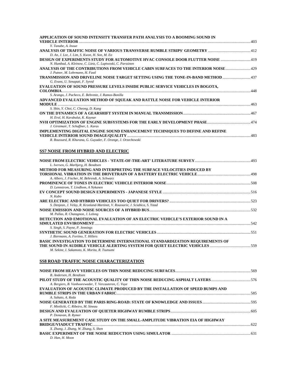| APPLICATION OF SOUND INTENSITY TRANSFER PATH ANALYSIS TO A BOOMING SOUND IN                                                                  |  |
|----------------------------------------------------------------------------------------------------------------------------------------------|--|
| Y. Tanabe, A. Inoue                                                                                                                          |  |
| D. An, J. Lee, J. Lim, S. Kwon, H. Son, M. Eo                                                                                                |  |
| DESIGN OF EXPERIMENTS STUDY FOR AUTOMOTIVE HVAC CONSOLE DOOR FLUTTER NOISE 49<br>N. Humbad, A. Kleinow, C. Lietz, C. Luptwoski, C. Parssinen |  |
| J. Putner, M. Lohrmann, H. Fastl                                                                                                             |  |
| TRANSMISSION AND DRIVELINE NOISE TARGET SETTING USING THE TONE-IN-BAND METHOD 437<br>G. Evans, U. Senapati, F. Syred                         |  |
| EVALUATION OF SOUND PRESSURE LEVELS INSIDE PUBLIC SERVICE VEHICLES IN BOGOTA,                                                                |  |
| S. Arango, J. Pacheco, E. Behrentz, J. Ramos-Bonilla                                                                                         |  |
| ADVANCED EVALUATION METHOD OF SQUEAK AND RATTLE NOISE FOR VEHICLE INTERIOR                                                                   |  |
| S. Shin, Y. Choi, C. Cheong, D. Kang                                                                                                         |  |
|                                                                                                                                              |  |
| H. Erol, H. Karabulut, K. Kaynar                                                                                                             |  |
|                                                                                                                                              |  |
| J. Girstmair, T. Schaffner, L. Karas                                                                                                         |  |
| IMPLEMENTING DIGITAL ENGINE SOUND ENHANCEMENT TECHNIOUES TO DEFINE AND REFINE                                                                |  |
| R. Boussard, R. Khurana, G. Guyader, F. Orange, J. Orzechowski                                                                               |  |
| SS7 NOISE FROM HYBRID AND ELECTRIC                                                                                                           |  |
|                                                                                                                                              |  |
| L. Iversen, G. Marbjerg, H. Bendtsen                                                                                                         |  |
| METHOD FOR MEASURING AND INTERPRETING THE SURFACE VELOCITIES INDUCED BY                                                                      |  |
| A. Albers, J. Fischer, M. Behrendt, A. Schwarz                                                                                               |  |
|                                                                                                                                              |  |
| D. Lennstrom, T. Lindbom, A Nykanen                                                                                                          |  |
| N. Kubo                                                                                                                                      |  |
|                                                                                                                                              |  |
| S. Denjean, J. Velay, R. Kronland-Martinet, V. Roussarie, J. Sciabica, S. Ystad                                                              |  |
|                                                                                                                                              |  |
| M. Pallas, R. Chatagnon, J. Lelong                                                                                                           |  |
| DETECTION AND EMOTIONAL EVALUATION OF AN ELECTRIC VEHICLE'S EXTERIOR SOUND IN A                                                              |  |
|                                                                                                                                              |  |
| S. Singh, S. Payne, P. Jennings                                                                                                              |  |
| J. Biermann, A. Fortino, T. Hillers                                                                                                          |  |
| BASIC INVESTIGATION TO DETERMINE INTERNATIONAL STANDARDIZATION REQUIREMENTS OF                                                               |  |
| M. Sekine, I. Sakamoto, K. Morita, R. Tsutsumi                                                                                               |  |
| SS8 ROAD TRAFFIC NOISE CHARACTERIZATION                                                                                                      |  |
|                                                                                                                                              |  |
| B. Andersen, H. Bendtsen                                                                                                                     |  |
| PILOT STUDY OF THE ACOUSTIC QUALITY OF THIN NOISE REDUCING ASPHALT LAYERS576                                                                 |  |

| B. Andersen, H. Bendtsen                                                              |  |
|---------------------------------------------------------------------------------------|--|
|                                                                                       |  |
| A. Bergiers, B. Vanhooreweder, T. Vercauteren, C. Vuye                                |  |
| <b>EVALUATION OF ACOUSTIC CLIMATE PRODUCED BY THE INSTALLATION OF SPEED BUMPS AND</b> |  |
|                                                                                       |  |
| A. Sabato, A. Reda                                                                    |  |
|                                                                                       |  |
| F. Mietlicki, C. Ribeiro, M. Sineau                                                   |  |
|                                                                                       |  |
| P. Donavan, B. Rymer                                                                  |  |
| A SITE MEASUREMENT CASE STUDY ON THE SMALL-AMPLITUDE VIBRATION EIA OF HIGHWAY         |  |
|                                                                                       |  |
| X. Zhang, J. Zhang, W. Zhang, S. Shen                                                 |  |
|                                                                                       |  |
| D. Han. H. Moon                                                                       |  |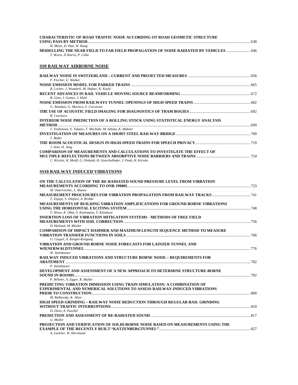| <b>CHARACTERISTIC OF ROAD TRAFFIC NOISE ACCORDING OT ROAD GEOMETIC STRUCTURE</b> |      |
|----------------------------------------------------------------------------------|------|
|                                                                                  | .638 |
| H. Moon, D. Han, W. Kang                                                         |      |
| MODELLING THE NEAR FIELD TO FAR FIELD PROPAGATION OF NOISE RADIATED BY VEHICLES  |      |
| T. Bravo. D Ibarra. P. Cobo                                                      |      |

# **SS9 RAILWAY AIRBORNE NOISE**

| F. Fischer, U. Walker                                                           |  |
|---------------------------------------------------------------------------------|--|
|                                                                                 |  |
| B. Locher, J. Wunderli, M. Hafner, K. Kostli                                    |  |
|                                                                                 |  |
| B. Ginn, J. Gomes, J. Hald                                                      |  |
|                                                                                 |  |
| G. Amadasi, G. Marsico, S. Curcuruto                                            |  |
|                                                                                 |  |
| B. Czechyra                                                                     |  |
| INTERIOR NOISE PREDICTION OF A ROLLING STOCK USING STATISTICAL ENERGY ANALYSIS  |  |
| <b>METHOD</b>                                                                   |  |
| T. Yoshizawa, Y. Takano, T. Mochida, M. Sebata, K. Makino                       |  |
|                                                                                 |  |
| T. Bader                                                                        |  |
|                                                                                 |  |
| J. Jeon, H. Jang                                                                |  |
| <b>COMPARISON OF MEASUREMENTS AND CALCULATIONS TO INVESTIGATE THE EFFECT OF</b> |  |
|                                                                                 |  |
| C. Kirisits, H. Meidl, G. Dinhobl, H. Gutschelhofer, J. Punk, H. Kirisits       |  |

# **SS10 RAILWAY INDUCED VIBRATIONS**

| ON THE CALCULATION OF THE RE-RADIATED SOUND PRESSURE LEVEL FROM VIBRATION            |  |
|--------------------------------------------------------------------------------------|--|
|                                                                                      |  |
| M. Osterreicher, L. Ibanez                                                           |  |
|                                                                                      |  |
| T. Espejo, S. Olafsen, A. Brekke                                                     |  |
| <b>MEASUREMENTS OF BUILDING VIBRATION AMPLIFICATIONS FOR GROUND-BORNE VIBRATIONS</b> |  |
|                                                                                      |  |
| Y. Hirao, K. Ohta, S. Kunimatsu, Y. Kitamura                                         |  |
| <b>INSERTION LOSS OF VIBRATION MITIGATION SYSTEMS - METHODS OF FREE FIELD</b>        |  |
|                                                                                      |  |
| D. Heiland, M. Mistler                                                               |  |
| <b>COMPARISON OF IMPACT HAMMER AND MAXIMUM LENGTH SEQUENCE METHOD TO MEASURE</b>     |  |
|                                                                                      |  |
| G. Coquel, A. Kengni-Kengang                                                         |  |
| VIBRATION AND GROUND BORNE NOISE FORECASTS FOR LAINZER TUNNEL AND                    |  |
|                                                                                      |  |
| W. Steinhauser                                                                       |  |
| <b>RAILWAY INDUCED VIBRATIONS AND STRUCTURE BORNE NOISE - REQUIREMENTS FOR</b>       |  |
|                                                                                      |  |
| P. Steinhauser                                                                       |  |
| DEVELOPMENT AND ASSESSMENT OF A NEW APPROACH TO DETERMINE STRUCTURE-BORNE            |  |
|                                                                                      |  |
| P. Billeter, A. Egger, R. Muller                                                     |  |
| PREDICTING VIBRATION IMMISSION USING TRAIN SIMULATION: A COMBINATION OF              |  |
| EXPERIMENTAL AND NUMERICAL SOLUTIONS TO ASSESS RAILWAY-INDUCED VIBRATIONS            |  |
|                                                                                      |  |
| M. Ralbovsky, K. Alten                                                               |  |
| HIGH SPEED GRINDING - RAILWAY NOISE REDUCTION THROUGH REGULAR RAIL GRINDING          |  |
|                                                                                      |  |
| D. Diest. A. Puschel                                                                 |  |
|                                                                                      |  |
| G. Muller                                                                            |  |
| PROJECTION AND VERIFICATION OF SOLID-BORNE NOISE BASED ON MEASUREMENTS USING THE     |  |
|                                                                                      |  |
| A. Lackner, W. Herrmann                                                              |  |
|                                                                                      |  |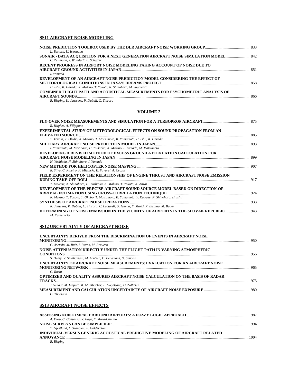# **SS11 AIRCRAFT NOISE MODELING**

| L. Bertsch, U. Isermann                                                       |     |
|-------------------------------------------------------------------------------|-----|
|                                                                               |     |
| C. Zellmann, J. Wunderli, B. Schaffer                                         |     |
| RECENT PROGRESS IN AIRPORT NOISE MODELING TAKING ACCOUNT OF NOISE DUE TO      |     |
|                                                                               | 851 |
| I. Yamada                                                                     |     |
| DEVELOPMENT OF AN AIRCRAFT NOISE PREDICTION MODEL CONSIDERING THE EFFECT OF   |     |
|                                                                               |     |
| H. Ishii, K. Harada, K. Makino, T. Yokota, N. Shinohara, M. Sugawara          |     |
| COMBINED FLIGHT PATH AND ACOUSTICAL MEASUREMENTS FOR PSYCHOMETRIC ANALYSIS OF |     |
| AIRCRAFT SOUNDS                                                               | 866 |

# *R. Bisping, K. Janssens, P. Dubail, C. Thirard*

#### **VOLUME 2**

| R. Hughes, A. Filippone                                                                                      |  |
|--------------------------------------------------------------------------------------------------------------|--|
| <b>EXPERIMENTAL STUDY OF METEOROLOGICAL EFFECTS ON SOUND PROPAGATION FROM AN</b>                             |  |
|                                                                                                              |  |
| T. Yokota, T. Okubo, K. Makino, T. Matsumoto, K. Yamamoto, H. Ishii, K. Harada                               |  |
|                                                                                                              |  |
| I. Yamamoto, M. Morinaga, H. Tsukioka, K. Makino, I. Yamada, M. Matsumoto                                    |  |
| DEVELOPING A REVISED METHOD OF EXCESS GROUND ATTENUATION CALCULATION FOR                                     |  |
|                                                                                                              |  |
| H. Yoshioka, N. Shinohara, I. Yamada                                                                         |  |
|                                                                                                              |  |
| R. Silva, C. Ribeiro, F. Mietlicki, E. Favarel, A. Crozat                                                    |  |
| FIELD EXPERIMENT ON THE RELATIONSHIP OF ENGINE THRUST AND AIRCRAFT NOISE EMISSION                            |  |
|                                                                                                              |  |
| Y. Kawase, N. Shinohara, H. Yoshioka, K. Makino, T. Yokota, K. Anzai                                         |  |
| DEVELOPMENT OF THE PRECISE AIRCRAFT SOUND SOURCE MODEL BASED ON DIRECTION-OF-                                |  |
|                                                                                                              |  |
| K. Makino, T. Yokota, T. Okubo, T. Matsumoto, K. Yamamoto, Y. Kawase, N. Shinohara, H. Ishii                 |  |
|                                                                                                              |  |
| K. Janssens, P. Dubail, C. Thirard, C. Leotardi, U. Iemma, F. Marki, R. Bisping, M. Bauer                    |  |
| <b>DETERMINING OF NOISE IMMISSION IN THE VICINITY OF AIRPORTS IN THE SLOVAK REPUBLIC</b> 943<br>M. Kamenicky |  |

# **SS12 UNCERTAINTY OF AIRCRAFT NOISE**

| UNCERTAINTY DERIVED FROM THE DISCRIMINATION OF EVENTS IN AIRCRAFT NOISE        |                |
|--------------------------------------------------------------------------------|----------------|
|                                                                                |                |
| C. Asensio, M. Ruiz, I. Pavon, M. Recuero                                      |                |
| NOISE ATTENUATION DIRECTLY UNDER THE FLIGHT PATH IN VARYING ATMOSPHERIC        |                |
|                                                                                |                |
| S. Hebly, V. Sindhamani, M. Arntzen, D. Bergmans, D. Simons                    |                |
| UNCERTAINTY OF AIRCRAFT NOISE MEASUREMENTS: EVALUATION FOR AN AIRCRAFT NOISE   |                |
|                                                                                |                |
| C. Rosin                                                                       |                |
| OPTIMIZED AND QUALITY ASSURED AIRCRAFT NOISE CALCULATION ON THE BASIS OF RADAR |                |
|                                                                                |                |
| J. Schaal, M. Liepert, M. Muhlbacher, B. Vogelsang, D. Zollitsch               |                |
|                                                                                |                |
| G. Thomann                                                                     |                |
| <b>SS13 AIRCRAFT NOISE EFFECTS</b>                                             |                |
|                                                                                |                |
| A. Diop, C. Consenza, R. Faye, F. Mora-Camino                                  |                |
| MOTOR OURSIDIZE CLAIRE ON IN TRIED!                                            | 0 <sup>0</sup> |

|                                                                              | 994  |
|------------------------------------------------------------------------------|------|
| T. Gjestland, I. Granoien, F. Gelderblom                                     |      |
| INDIVIDUAL VERSUS GENERIC ACOUSTICAL PREDICTIVE MODELING OF AIRCRAFT RELATED |      |
|                                                                              | 1004 |
| R. Bisping                                                                   |      |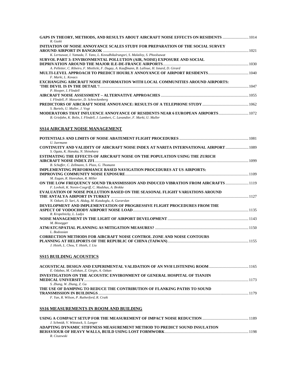| GAPS IN THEORY, METHODS, AND RESULTS ABOUT AIRCRAFT NOISE EFFECTS ON RESIDENTS<br>R. Guski                                           |  |
|--------------------------------------------------------------------------------------------------------------------------------------|--|
| INITIATION OF NOISE ANNOYANCE SCALES STUDY FOR PREPARATION OF THE SOCIAL SURVEY                                                      |  |
| K. Lertsawat, I. Yamada, T. Yano, L. Kovudhikulrungsri, S. Malailoy, S. Phoolsawat                                                   |  |
| SURVOL PART 3: ENVIRONMENTAL POLLUTION (AIR, NOISE) EXPOSURE AND SOCIAL                                                              |  |
| A. Pelletier, C. Ribeiro, F. Mietlicki, F. Dugay, A. Kauffmann, B. Lalloue, H. Isnard, D. Girard                                     |  |
| F. Marki, L. Kovacs                                                                                                                  |  |
| EXCHANGING AIRCRAFT NOISE INFORMATION WITH LOCAL COMMUNITIES AROUND AIRPORTS:                                                        |  |
| P. Hooper, I. Flindell                                                                                                               |  |
| AIRCRAFT NOISE ASSESSMENT – ALTERNATIVE APPROACHES ……………………………………………………………………………… 1055<br>I. Flindell, P. Masurier, D. Schreckenberg |  |
| S. Bartels, U. Muller, J. Vogt                                                                                                       |  |
|                                                                                                                                      |  |
| B. Griefahn, K. Bolin, I. Flindell, J. Lambert, C. Lavandier, F. Marki, U. Muller                                                    |  |
| SS14 AIRCRAFT NOISE MANAGEMENT                                                                                                       |  |
|                                                                                                                                      |  |
| U. Isermann<br>CONTINUITY AND VALIDITY OF AIRCRAFT NOISE INDEX AT NARITA INTERNATIONAL AIRPORT  1089                                 |  |
| S. Ogata, K. Hanaka, N. Shinohara<br>ESTIMATING THE EFFECTS OF AIRCRAFT NOISE ON THE POPULATION USING THE ZURICH                     |  |
| B. Schaffer, C. Zellmann, S. Pluss, G. Thomann                                                                                       |  |
| IMPLEMENTING PERFORMANCE BASED NAVIGATION PROCEDURES AT US AIRPORTS:                                                                 |  |
|                                                                                                                                      |  |
| M. Eagan, R. Hanrahan, R. Miller<br>ON THE LOW FREQUENCY SOUND TRANSMISSION AND INDUCED VIBRATION FROM AIRCRAFTS  1119               |  |
| F. Lovholt, K. Noren-Cosgriff, C. Madshus, A. Brekke<br>EVALUATION OF NOISE POLLUTION BASED ON THE SEASONAL FLIGHT VARIATIONS AROUND |  |
|                                                                                                                                      |  |
| N. Ozkurt, D. Sari, A. Akdag, M. Kutukoglu, A. Gurarslan                                                                             |  |
| DEVELOPMENT AND IMPLEMENTATION OF PROGRESSIVE FLIGHT PROCEDURES FROM THE                                                             |  |
| R. Kropelnicky, L. Ladys                                                                                                             |  |
| M. Bissegger                                                                                                                         |  |
| L. Bodossian                                                                                                                         |  |
| CORRECTION METHODS FOR AIRCRAFT NOISE CONTROL ZONE AND NOISE CONTOURS                                                                |  |
| J. Hsieh, L. Chou, Y. Hsieh, J. Liu                                                                                                  |  |
| <u>SS15 BUILDING ACOUSTICS</u>                                                                                                       |  |
|                                                                                                                                      |  |
| E. Odabas, M. Caliskan, Z. Girgin, A. Ozkan                                                                                          |  |
| INVESTIGATION ON THE ACOUSTIC ENVIRONMENT OF GENERAL HOSPITAL OF TIANJIN                                                             |  |
| S. Zhang, W. Zhang, Z. Gu<br>THE USE OF DAMPING TO REDUCE THE CONTRIBUTION OF FLANKING PATHS TO SOUND                                |  |
| F. Yan, R. Wilson, P. Rutherford, R. Craik                                                                                           |  |
| SS16 MEASUREMENTS IN ROOM AND BUILDING                                                                                               |  |
|                                                                                                                                      |  |
| J. Schmidt, V. Wittstock, S. Langer                                                                                                  |  |
| ADAPTING DYNAMIC STIFFNESS MEASUREMENT METHOD TO PREDICT SOUND INSULATION                                                            |  |
|                                                                                                                                      |  |

*R. Ciszewski*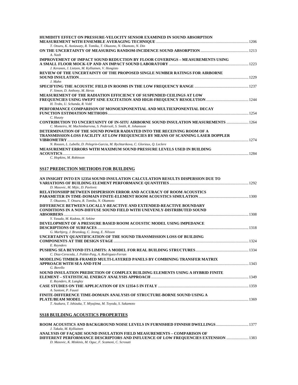| HUMIDITY EFFECT ON PRESSURE-VELOCITY SENSOR EXAMINED IN SOUND ABSORPTION                   |  |
|--------------------------------------------------------------------------------------------|--|
|                                                                                            |  |
| T. Otsuru, K. Asniawaty, R. Tomiku, T. Okuzono, N. Okamoto, N. Din                         |  |
|                                                                                            |  |
| A. Nash                                                                                    |  |
| IMPROVEMENT OF IMPACT SOUND REDUCTION BY FLOOR COVERINGS – MEASUREMENTS USING              |  |
|                                                                                            |  |
| J. Keranen, J. Lietzen, M. Kylliainen, V. Hongisto                                         |  |
| REVIEW OF THE UNCERTAINTY OF THE PROPOSED SINGLE NUMBER RATINGS FOR AIRBORNE               |  |
|                                                                                            |  |
| J. Mahn                                                                                    |  |
|                                                                                            |  |
| F. Simon, D. Anthony, M. Heras                                                             |  |
| MEASUREMENT OF THE RADIATION EFFICIENCY OF SUSPENDED CEILINGS AT LOW                       |  |
|                                                                                            |  |
| H. Trobs. U. Schanda, R. Voltl                                                             |  |
| PERFORMANCE COMPARISON OF MONOEXPONENTIAL AND MULTIEXPONENTIAL DECAY                       |  |
|                                                                                            |  |
| C. Huszty                                                                                  |  |
| <b>CONTRIBUTION TO UNCERTAINTY OF IN-SITU AIRBORNE SOUND INSULATION MEASUREMENTS  1264</b> |  |
| C. Monteiro, M. Machimbarrena, S. Pedersoli, S. Smith, R. Johansson                        |  |
| DETERMINATION OF THE SOUND POWER RADIATED INTO THE RECEIVING ROOM OF A                     |  |
| TRANSMISSION-LOSS FACILITY AT LOW FREQUENCIES BY MEANS OF SCANNING LASER DOPPLER           |  |
| N. Roozen, L. Labelle, D. Pelegrin-Garcia, M. Rychtarikova, C. Glorieux, Q. Leclere        |  |
| MEASUREMENT ERRORS WITH MAXIMUM SOUND PRESSURE LEVELS USED IN BUILDING                     |  |
|                                                                                            |  |
|                                                                                            |  |

*C. Hopkins, M. Robinson* 

### **SS17 PREDICTION METHODS FOR BUILDING**

| AN INSIGHT INTO EN 12354 SOUND INSULATION CALCULATION RESULTS DISPERSION DUE TO |  |
|---------------------------------------------------------------------------------|--|
|                                                                                 |  |
| D. Masovic, M. Mijic, D. Pavlovic                                               |  |
| <b>RELATIONSHIP BETWEEN DISPERSION ERROR AND ACCURACY OF ROOM ACOUSTICS</b>     |  |
| T. Okuzono, T. Otsuru, R. Tomiku, N. Okamoto                                    |  |
| DIFFERENCE BETWEEN LOCALLY-REACTIVE AND EXTENDED-REACTIVE BOUNDARY              |  |
| <b>CONDITIONS IN A NON-DIFFUSE SOUND FIELD WITH UNEVENLY-DISTRIBUTED SOUND</b>  |  |
|                                                                                 |  |
| Y. Yasuda, M. Kadota, H. Sekine                                                 |  |
| DEVELOPMENT OF A PRESSURE BASED ROOM ACOUSTIC MODEL USING IMPEDANCE             |  |
| G. Marbjerg, J. Brunskog, C. Jeong, E. Nilsson                                  |  |
| UNCERTAINTY QUANTIFICATION OF THE SOUND TRANSMISSION LOSS OF BUILDING           |  |
|                                                                                 |  |
| E. Reynders                                                                     |  |
|                                                                                 |  |
| C. Diaz-Cereceda, J. Poblet-Puig, A. Rodriguez-Ferran                           |  |
| MODELING TIMBER-FRAMED MULTI-LAYERED PANELS BY COMBINING TRANSFER MATRIX        |  |
|                                                                                 |  |
| G. Borello                                                                      |  |
| SOUND INSULATION PREDICTION OF COMPLEX BUILDING ELEMENTS USING A HYBRID FINITE  |  |
|                                                                                 |  |
| E. Reynders, R. Langley                                                         |  |
| A. Santoni, P. Fausti                                                           |  |
| FINITE-DIFFERENCE TIME-DOMAIN ANALYSIS OF STRUCTURE-BORNE SOUND USING A         |  |
|                                                                                 |  |
| T. Asakura, T. Ishizuka, T. Miyajima, M. Toyoda, S. Sakamoto                    |  |
|                                                                                 |  |
|                                                                                 |  |

# **SS18 BUILDING ACOUSTICS PROPERTIES**

| J. Takala, M. Kylliainen                                                           |  |
|------------------------------------------------------------------------------------|--|
| ANALYSIS OF FACADE SOUND INSULATION FIELD MEASUREMENTS – COMPARISON OF             |  |
| DIFFERENT PERFORMANCE DESCRIPTORS AND INFLUENCE OF LOW FREQUENCIES EXTENSION  1383 |  |
| D. Masovic, K. Miskinis, M. Oguc, F. Scamoni, C. Scrosati                          |  |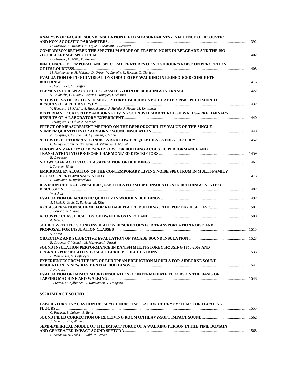| ANALYSIS OF FAÇADE SOUND INSULATION FIELD MEASUREMENTS - INFLUENCE OF ACOUSTIC        |  |
|---------------------------------------------------------------------------------------|--|
| D. Masovic, K. Miskinis, M. Oguc, F. Scamoni, C. Scrosati                             |  |
| <b>COMPARISON BETWEEN THE SPECTRUM SHAPE OF TRAFFIC NOISE IN BELGRADE AND THE ISO</b> |  |
|                                                                                       |  |
| D. Masovic, M. Mijic, D. Pavlovic                                                     |  |
|                                                                                       |  |
| INFLUENCE OF TEMPORAL AND SPECTRAL FEATURES OF NEIGHBOUR'S NOISE ON PERCEPTION        |  |
|                                                                                       |  |
| M. Rychtarikova, H. Mullner, D. Urban, V. Chmelik, N. Roozen, C. Glorieux             |  |
| EVALUATION OF FLOOR VIBRATIONS INDUCED BY WALKING IN REINFORCED CONCRETE              |  |
|                                                                                       |  |
| P. Lee, B. Lee, M. Griffin                                                            |  |
|                                                                                       |  |
| S. Bailhache, C. Guigou-Carter, C. Rougier, I. Schmich                                |  |
| ACOUSTIC SATISFACTION IN MULTI-STOREY BUILDINGS BUILT AFTER 1950 – PRELIMINARY        |  |
|                                                                                       |  |
| V. Hongisto, M. Makila, A. Haapakangas, J. Hakala, J. Hyona, M. Kylliainen            |  |
| DISTURBANCE CAUSED BY AIRBORNE LIVING SOUNDS HEARD THROUGH WALLS – PRELIMINARY        |  |
|                                                                                       |  |
| V. Hongisto, D. Oliva, J. Keranen                                                     |  |
| EFFECT OF MEASUREMENT METHOD ON THE REPRODUCIBILITY VALUE OF THE SINGLE               |  |
|                                                                                       |  |
| V. Hongisto, J. Keranen, M. Kylliainen, J. Mahn                                       |  |
|                                                                                       |  |
| C. Guigou-Carter, S. Bailhache, M. Villenave, A. Maillet                              |  |
| EUROPEAN VARIETY OF DESCRIPTORS FOR BUILDING ACOUSTIC PERFORMANCE AND                 |  |
|                                                                                       |  |
| E. Gerretsen                                                                          |  |
|                                                                                       |  |
| I. Turunen-Rindel                                                                     |  |
|                                                                                       |  |
| <b>EMPIRICAL EVALUATION OF THE CONTEMPORARY LIVING NOISE SPECTRUM IN MULTI-FAMILY</b> |  |
|                                                                                       |  |
| H. Muellner, M. Rychtarikova                                                          |  |
| REVISION OF SINGLE-NUMBER QUANTITIES FOR SOUND INSULATION IN BUILDINGS: STATE OF      |  |
|                                                                                       |  |
| W. Scholl                                                                             |  |
|                                                                                       |  |
| A. Liebl, M. Spah, O. Barlome, M. Kittel                                              |  |
|                                                                                       |  |
| J. Patricio, S. Antunes                                                               |  |
|                                                                                       |  |
| A. Izewska                                                                            |  |
| SOURCE-SPECIFIC SOUND INSULATION DESCRIPTORS FOR TRANSPORTATION NOISE AND             |  |
|                                                                                       |  |
| S. Kurra                                                                              |  |
|                                                                                       |  |
| R. Ordonez, C. Visentin, M. Markovic, P. Fausti                                       |  |
| SOUND INSULATION PERFORMANCE IN DANISH MULTI-STOREY HOUSING 1850-2009 AND             |  |
|                                                                                       |  |
| B. Rasmussen, D. Hoffmeyer                                                            |  |
| <b>EXPERIENCES FROM THE USE OF EUROPEAN PREDICTION MODELS FOR AIRBORNE SOUND</b>      |  |
|                                                                                       |  |
| J. Novacek                                                                            |  |
|                                                                                       |  |
| EVALUATION OF IMPACT SOUND INSULATION OF INTERMEDIATE FLOORS ON THE BASIS OF          |  |
|                                                                                       |  |
| J. Lietzen, M. Kylliainen, V. Kovalainen, V. Hongisto                                 |  |

# **SS20 IMPACT SOUND**

| <b>LABORATORY EVALUATION OF IMPACT NOISE INSULATION OF DRY SYSTEMS FOR FLOATING</b> |      |
|-------------------------------------------------------------------------------------|------|
| <b>FLOORS</b>                                                                       | 1555 |
| C. Pavarin, L. Luision, A. Bella                                                    |      |
|                                                                                     |      |
| J. Jeong, J. Kim, W. Yang                                                           |      |
| SEMI-EMPIRICAL MODEL OF THE IMPACT FORCE OF A WALKING PERSON IN THE TIME DOMAIN     |      |
|                                                                                     | 1568 |
| U. Schanda, H. Trobs, R. Voltl, P. Becker                                           |      |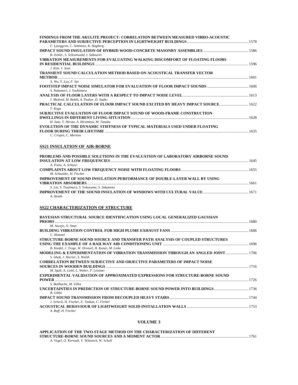| FINDINGS FROM THE AKULITE PROJECT: CORRELATION BETWEEN MEASURED VIBRO-ACOUSTIC                                        |  |
|-----------------------------------------------------------------------------------------------------------------------|--|
|                                                                                                                       |  |
| F. Ljunggren, C. Simmons, K. Hagberg                                                                                  |  |
|                                                                                                                       |  |
| B. Zeitler, S. Schoenwald, I. Sabourin                                                                                |  |
| VIBRATION MEASUREMENTS FOR EVALUATING WALKING DISCOMFORT OF FLOATING FLOORS                                           |  |
|                                                                                                                       |  |
| J. Kim, J. Jeon                                                                                                       |  |
| TRANSIENT SOUND CALCULATION METHOD BASED ON ACOUSTICAL TRANSFER VECTOR                                                |  |
| X. Wu, Y. Lyu, F. Sui                                                                                                 |  |
|                                                                                                                       |  |
| S. Nakamori, J. Yoshimura                                                                                             |  |
|                                                                                                                       |  |
| J. Medved, M. Bobik, A. Puskar, D. Szabo                                                                              |  |
|                                                                                                                       |  |
| T. Koga                                                                                                               |  |
| SUBJECTIVE EVALUATION OF FLOOR IMPACT SOUND OF WOOD-FRAME CONSTRUCTION                                                |  |
|                                                                                                                       |  |
| H. Sato, T. Hirota, A. Hiramitsu, M. Tanaka                                                                           |  |
| EVOLUTION OF THE DYNAMIC STIFFNESS OF TYPICAL MATERIALS USED UNDER FLOATING                                           |  |
|                                                                                                                       |  |
| C. Crispin, C. Mertens                                                                                                |  |
| <b>SS21 INSULATION OF AIR-BORNE</b><br>PROBLEMS AND POSSIBLE SOLUTIONS IN THE EVALUATION OF LABORATORY AIRBORNE SOUND |  |
|                                                                                                                       |  |
| A. Prato, A. Schiavi                                                                                                  |  |
|                                                                                                                       |  |
| M. Schneider, H. Fischer                                                                                              |  |
| IMPROVEMENT OF SOUND INSULATION PERFORMANCE OF DOUBLE-LAYER WALL BY USING                                             |  |
| S. Lin, S. Tsujimura, S. Yokoyama, S. Sakamoto                                                                        |  |
|                                                                                                                       |  |
| A. Homb                                                                                                               |  |
|                                                                                                                       |  |
| <b>SS22 CHARACTERIZATION OF STRUCTURE</b>                                                                             |  |
|                                                                                                                       |  |
| BAYESIAN STRUCTURAL SOURCE IDENTIFICATION USING LOCAL GENERALIZED GAUSSIAN                                            |  |
|                                                                                                                       |  |
| M. Aucejo, O. Smet                                                                                                    |  |
|                                                                                                                       |  |
| C. Himmel                                                                                                             |  |
| STRUCTURE-BORNE SOUND SOURCE AND TRANSFER PATH ANALYSIS OF COUPLED STRUCTURES                                         |  |
|                                                                                                                       |  |
| B. Knofel, J. Troge, W. Drossel, H. Kunze, M. Linke                                                                   |  |
| MODELING & EXPERIMENTATION OF VIBRATION TRANSMISSION THROUGH AN ANGLED JOINT 1706                                     |  |
| S. Ishak, J. Horner, S. Walsh<br>CODDEL ATION DETWEEN CUD IECTIVE AND OD IECTIVE DAD AMETEDS OF IMDACT NOISE.         |  |
|                                                                                                                       |  |

| BAYESIAN STRUCTURAL SOURCE IDENTIFICATION USING LOCAL GENERALIZED GAUSSIAN           |  |
|--------------------------------------------------------------------------------------|--|
| <b>PRIORS</b>                                                                        |  |
| M. Aucejo, O. Smet                                                                   |  |
|                                                                                      |  |
| C. Himmel                                                                            |  |
| STRUCTURE-BORNE SOUND SOURCE AND TRANSFER PATH ANALYSIS OF COUPLED STRUCTURES        |  |
|                                                                                      |  |
| B. Knofel, J. Troge, W. Drossel, H. Kunze, M. Linke                                  |  |
| MODELING & EXPERIMENTATION OF VIBRATION TRANSMISSION THROUGH AN ANGLED JOINT  1706   |  |
| S. Ishak. J. Horner, S. Walsh                                                        |  |
| <b>CORRELATION BETWEEN SUBJECTIVE AND OBJECTIVE PARAMETERS OF IMPACT NOISE</b>       |  |
|                                                                                      |  |
| M. Spah, A. Liebl, L. Weber, P. Leistner                                             |  |
| <b>EXPERIMENTAL VALIDATION OF APPROXIMATED EXPRESSIONS FOR STRUCTURE-BORNE SOUND</b> |  |
|                                                                                      |  |
| S. Bailhache, M. Villot                                                              |  |
|                                                                                      |  |
| <b>B.</b> Gibbs                                                                      |  |
|                                                                                      |  |
| J. Scheck, H. Fischer, E. Taskan, C. Fichtel                                         |  |
|                                                                                      |  |
| A. Ruff, H. Fischer                                                                  |  |

# **VOLUME 3**

| APPLICATION OF THE TWO-STAGE METHOD ON THE CHARACTERIZATION OF DIFFERENT |  |
|--------------------------------------------------------------------------|--|
|                                                                          |  |
| A. Vogel, O. Kornadt, V. Wittstock, W. Scholl                            |  |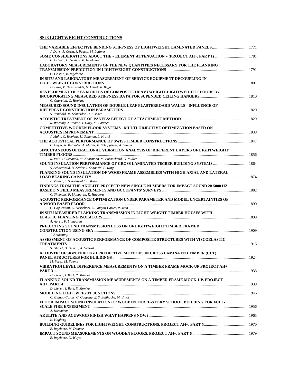# **SS23 LIGHTWEIGHT CONSTRUCTIONS**

| THE VARIABLE EFFECTIVE BENDING STIFFNESS OF LIGHTWEIGHT LAMINATED PANELS1771                                                                                                                                      |  |
|-------------------------------------------------------------------------------------------------------------------------------------------------------------------------------------------------------------------|--|
| J. Davy, A. Cown, J. Pearse, M. Latimer<br>SOME CONSIDERATIONS ABOUT THE « ELEMENT ATTENUATION » (PROJECT AH+, PART 1) 1781                                                                                       |  |
| C. Crispin, L. Geetere, B. Ingelaere<br>LABORATORY MEASUREMENTS OF THE NEW QUANTITIES NECESSARY FOR THE FLANKING                                                                                                  |  |
| C. Crispin, B. Ingelaere<br>IN SITU AND LABORATORY MEASUREMENT OF SERVICE EQUIPMENT DECOUPLING IN                                                                                                                 |  |
| D. Bard, V. Desarnaulds, H. Lissek, R. Beffa<br>DEVELOPMENT OF SEA MODELS OF COMPOSITE HEAVYWEIGHT-LIGHTWEIGHT FLOORS BY                                                                                          |  |
| C. Churchill, C. Hopkins<br>MEASURED SOUND INSULATION OF DOUBLE LEAF PLASTERBOARD WALLS - INFLUENCE OF                                                                                                            |  |
| S. Reinhold, M. Schneider, H. Fischer<br>R. Wareing, J. Pearse, J. Davy, M. Latimer                                                                                                                               |  |
| <b>COMPETITIVE WOODEN FLOOR SYSTEMS - MULTI-OBJECTIVE OPTIMIZATION BASED ON</b>                                                                                                                                   |  |
| J. Mahn, C. Hopkins, U. Schanda, L. Krajci<br>C. Geyer, R. Butikofer, A. Muller, B. Schuppisser, A. Sanavi<br>SIMULTANEOUS OPERATIONAL VIBRATION ANALYSIS OF DIFFERENT LAYERS OF LIGHTWEIGHT                      |  |
| R. Voltl, U. Schanda, M. Kohrmann, M. Buchschmid, G. Muller                                                                                                                                                       |  |
| SOUND INSULATION PERFORMANCE OF CROSS LAMINATED TIMBER BUILDING SYSTEMS 1864<br>S. Schoenwald, B. Zeitler, I. Sabourin, F. King<br>FLANKING SOUND INSULATION OF WOOD FRAME ASSEMBLIES WITH HIGH AXIAL AND LATERAL |  |
| B. Zeitler, S. Schoenwald, F. King                                                                                                                                                                                |  |
| FINDINGS FROM THE AKULITE PROJECT: NEW SINGLE NUMBERS FOR IMPACT SOUND 20-5000 HZ<br>C. Simmons, F. Ljunggren, K. Hagberg                                                                                         |  |
| ACOUSTIC PERFORMANCE OPTIMIZATION UNDER PARAMETER AND MODEL UNCERTAINTIES OF<br>C. Coguenanff, C. Desceliers, C. Guigou-Carter, P. Jean                                                                           |  |
| IN SITU MEASURED FLANKING TRANSMISSION IN LIGHT WEIGHT TIMBER HOUSES WITH<br>A. Agren, F. Ljunggren                                                                                                               |  |
| PREDICTING SOUND TRANSMISSION LOSS ON OF LIGHTWEIGHT TIMBER FRAMED                                                                                                                                                |  |
| J. Kouyoumji<br>ASSESSMENT OF ACOUSTIC PERFORMANCE OF COMPOSITE STRUCTURES WITH VISCOELASTIC                                                                                                                      |  |
| S. Ghinet, H. Osman, A. Grewal<br>ACOUSTIC DESIGN THROUGH PREDICTIVE METHODS IN CROSS LAMINATED TIMBER (CLT)                                                                                                      |  |
| M. Perez, M. Fuente<br>VIBRATION LEVEL DIFFERENCE MEASUREMENTS ON A TIMBER FRAME MOCK-UP PROJECT AH+,                                                                                                             |  |
| D. Lieven, I. Bart, R. Monika<br>FLANKING SOUND TRANSMISSION MEASUREMENTS ON A TIMBER FRAME MOCK-UP. PROJECT                                                                                                      |  |
| D. Lieven, I. Bart, R. Monika<br>C. Guigou-Carter, C. Goguenanff, S. Bailhache, M. Villot                                                                                                                         |  |
| FLOOR IMPACT SOUND INSULATION OF WOODEN THREE-STORY SCHOOL BUILDING FOR FULL-<br>A. Hiramitsu                                                                                                                     |  |
| K. Hagberg                                                                                                                                                                                                        |  |
| B. Ingelaere, M. Damme                                                                                                                                                                                            |  |
| B. Ingelaere, D. Wuyts                                                                                                                                                                                            |  |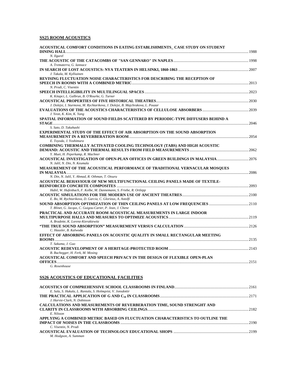# **SS25 ROOM ACOUSTICS**

| ACOUSTICAL COMFORT CONDITIONS IN EATING ESTABLISHMENTS - CASE STUDY ON STUDENT                                                    |       |
|-----------------------------------------------------------------------------------------------------------------------------------|-------|
| N. Ilgurel                                                                                                                        |       |
| A. Trematerra, G. Iannace                                                                                                         |       |
| J. Takala, M. Kylliainen                                                                                                          |       |
| REVISING FLUCTUATION NOISE CHARACTERISTICS FOR DESCRIBING THE RECEPTION OF<br>N. Prodi, C. Visentin                               |       |
|                                                                                                                                   |       |
| K. Kitapci, L. Galbrun, B. O'Rourke, G. Turner<br>J. Dolejsi, I. Sturmova, M. Rychtarikova, J. Dolejsi, B. Majchrakova, L. Pouzar |       |
|                                                                                                                                   |       |
| J. Yeon, K. Kim, K. Yang<br>SPATIAL INFORMATION OF SOUND FIELDS SCATTERED BY PERIODIC-TYPE DIFFUSERS BEHIND A                     |       |
| S. Sato, D. Takahashi                                                                                                             |       |
| <b>EXPERIMENTAL STUDY OF THE EFFECT OF AIR ABSORPTION ON THE SOUND ABSORPTION</b>                                                 |       |
| E. Toyoda, J. Yoshimura                                                                                                           |       |
| COMBINING THERMALLY ACTIVATED COOLING TECHNOLOGY (TABS) AND HIGH ACOUSTIC<br>Y. Muet, H. Peperkamp, R. Machner                    |       |
| ACOUSTICAL INVESTIGATION OF OPEN-PLAN OFFICES IN GREEN BUILDINGS IN MALAYSIA2076<br>N. Jalil, N. Din, N. Keumala                  |       |
| MEASUREMENT OF THE ACOUSTICAL PERFORMANCE OF TRADITIONAL VERNACULAR MOSQUES                                                       |       |
| N. Din, N. Jalil, Y. Ahmad, R. Othman, T. Otsuru                                                                                  |       |
| ACOUSTICAL BEHAVIOUR OF NEW MULTIFUNCTIONAL CEILING PANELS MADE OF TEXTILE-                                                       |       |
| Habil, W. Hufenbach, F. Kolbe, M. Dannemann, S. Friebe, R. Ortlepp                                                                |       |
| E. Bo, M. Rychtarikova, D. Garcia, C. Glorieux, A. Astolfi                                                                        |       |
| T. Blinet, G. Jacqus, C. Guigou-Carter, P. Jean, J. Chene                                                                         |       |
| PRACTICAL AND ACCURATE ROOM ACOUSTICAL MEASUREMENTS IN LARGE INDOOR<br>A. Bradette, K. Lorenz-Kierakiewitz                        |       |
|                                                                                                                                   |       |
| C. Hausler, B. Kalwoda<br>EFFECT OF ABSORBING PANELS ON ACOUSTIC QUALITY IN SMALL RECTANGULAR MEETING                             |       |
|                                                                                                                                   |       |
| T. Sakuma, J. Guo                                                                                                                 |       |
| B. Buchegger, H. Ferk, M. Mosing                                                                                                  |       |
| ACOUSTICAL COMFORT AND SPEECH PRIVACY IN THE DESIGN OF FLEXIBLE OPEN-PLAN<br>OFFICES                                              | .2151 |
| G. Rosenhouse                                                                                                                     |       |
| <b>SS26 ACOUSTICS OF EDUCATIONAL FACILITIES</b>                                                                                   |       |
| E. Sala, S. Hakala, L. Rantala, S. Holmqvist, V. Jonsdottir                                                                       |       |
| J. Harvie-Clark, N. Dobinson                                                                                                      |       |
| CALCULATIONS AND MEASUREMENTS OF REVERBERATION TIME, SOUND STRENGHT AND                                                           |       |
| E. Nilsson<br>APPLYING A COMBINED METRIC BASED ON FLUCTUATION CHARACTERISTICS TO OUTLINE THE                                      |       |
| C. Visentin, N. Prodi                                                                                                             |       |
|                                                                                                                                   |       |

*M. Hodgson, A. Summan*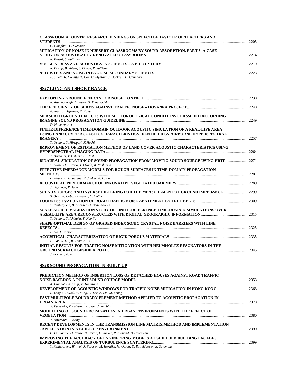| CLASSROOM ACOUSTIC RESEARCH FINDINGS ON SPEECH BEHAVIOUR OF TEACHERS AND                                                                                        |  |
|-----------------------------------------------------------------------------------------------------------------------------------------------------------------|--|
| C. Campbell, C. Svensson                                                                                                                                        |  |
| MITIGATION OF NOISE IN NURSERY CLASSROOMS BY SOUND ABSORPTION, PART 3: A CASE                                                                                   |  |
| K. Kawai, S. Fujihara                                                                                                                                           |  |
|                                                                                                                                                                 |  |
| N. Durup, B. Shield, S. Dance, R. Sullivan                                                                                                                      |  |
| B. Shield, R. Conetta, T. Cox, C. Mydlarz, J. Dockrell, D. Connolly                                                                                             |  |
| SS27 LONG AND SHORT RANGE                                                                                                                                       |  |
|                                                                                                                                                                 |  |
| K. Attenborough, I. Bashir, S. Taherzadeh                                                                                                                       |  |
| P. Jean, J. Defrance, F. Koussa                                                                                                                                 |  |
| MEASURED GROUND EFFECTS WITH METEOROLOGICAL CONDITIONS CLASSIFIED ACCORDING                                                                                     |  |
| D. Hohenwarter                                                                                                                                                  |  |
| FINITE-DIFFERENCE TIME-DOMAIN OUTDOOR ACOUSTIC SIMULATION OF A REAL-LIFE AREA<br>USING LAND COVER ACOUSTIC CHARACTERISTICS IDENTIFIED BY AIRBORNE HYPERSPECTRAL |  |
|                                                                                                                                                                 |  |
| T. Oshima, Y. Hiraguri, K Hoshi<br>IMPROVEMENT OF ESTIMATION METHOD OF LAND COVER ACOUSTIC CHARACTERISTICS USING                                                |  |
| Y. Hiraguri, T. Oshima, K. Hoshi                                                                                                                                |  |
| BINAURAL SIMULATION OF SOUND PROPAGATION FROM MOVING SOUND SOURCE USING HRTF  2271<br>T. Iwase, H. Kurono, Y. Okada, K. Yoshihisa                               |  |
| EFFECTIVE IMPEDANCE MODELS FOR ROUGH SURFACES IN TIME-DOMAIN PROPAGATION                                                                                        |  |
| O. Faure, B. Gauvreau, F. Junker, P. Lafon                                                                                                                      |  |
| J. Defrance, P. Jean                                                                                                                                            |  |
| SOUND SOURCES AND INVERSE FILTERING FOR THE MEASUREMENT OF GROUND IMPEDANCE  2299                                                                               |  |
| S. Ortiz, P. Cobo, D. Ibarra, C. Colina                                                                                                                         |  |
| T. Renterghem, B. Coensel, D. Botteldooren<br>SCALE-MODEL VALIDATION STUDY OF FINITE-DIFFERENCE TIME-DOMAIN SIMULATIONS OVER                                    |  |
| T. Oshima, T. Ishizuka, T. Kamijo                                                                                                                               |  |
| SHAPE-OPTIMAL DESIGN OF GRADED INDEX SONIC CRYSTAL NOISE BARRIERS WITH LINE                                                                                     |  |
| B. Aa, J. Forssen                                                                                                                                               |  |
|                                                                                                                                                                 |  |
| H. Tao, S. Liu, B. Tong, K. Li<br>INITIAL RESULTS FOR TRAFFIC NOISE MITIGATION WITH HELMHOLTZ RESONATORS IN THE                                                 |  |
| J. Forssen, B. Aa                                                                                                                                               |  |
|                                                                                                                                                                 |  |
| <b>SS28 SOUND PROPAGATION IN BUILT-UP</b>                                                                                                                       |  |
| PREDICTION METHOD OF INSERTION LOSS OF DETACHED HOUSES AGAINST ROAD TRAFFIC                                                                                     |  |
| K. Fujimoto, K. Tsuji, T. Tominaga                                                                                                                              |  |
| L. Tang, G. Kwok, V. Fung, C. Lee, A. Lui, M. Yeung                                                                                                             |  |
| FAST MULTIPOLE BOUNDARY ELEMENT METHOD APPLIED TO ACOUSTIC PROPAGATION IN                                                                                       |  |
| X. Vuylsteke, T. Leissing, P. Jean, J. Semblat                                                                                                                  |  |
| MODELLING OF SOUND PROPAGATION IN URBAN ENVIRONMENTS WITH THE EFFECT OF                                                                                         |  |
| Y. Smyrnova, J. Kang                                                                                                                                            |  |
| RECENT DEVELOPMENTS IN THE TRANSMISSION LINE MATRIX METHOD AND IMPLEMENTATION                                                                                   |  |
| G. Guillaume, O. Faure, N. Fortin, F. Junker, P. Aumond, B. Gauvreau                                                                                            |  |
| IMPROVING THE ACCURACY OF ENGINEERING MODELS AT SHIELDED BUILDING FACADES:                                                                                      |  |
| T. Renterghem, W. Wei, J. Forssen, M. Hornikx, M. Ogren, D. Botteldooren, E. Salomons                                                                           |  |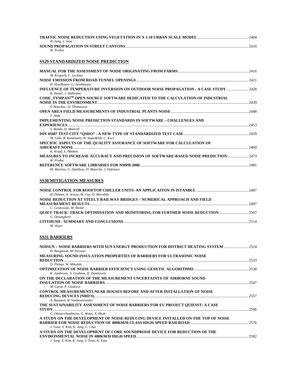|                                             | 2404 |
|---------------------------------------------|------|
| H. Jang, J. Jeon                            |      |
| <b>SOUND PROPAGATION IN STREET CANYONS.</b> | 2410 |
| W Probst                                    |      |

# **SS29 STANDARDIZED NOISE PREDICTION**

| M. Kropsch, C. Lechner                                                                                                       |      |
|------------------------------------------------------------------------------------------------------------------------------|------|
| H. Hoislbauer, G. Strohmayer                                                                                                 |      |
| INFLUENCE OF TEMPERATURE INVERSION ON OUTDOOR NOISE PROPAGATION - A CASE STUDY  2428<br>R. Hetzel, J. Halbritter             |      |
| CODE TYMPAN <sup>TM</sup> OPEN SOURCE SOFTWARE DEDICATED TO THE CALCULATION OF INDUSTRIAL<br><b>NOISE IN THE ENVIRONMENT</b> | 2439 |
| S. Bourdiec. D. Thomasson                                                                                                    |      |
| T. Hida                                                                                                                      |      |
| IMPLEMENTING NOISE PREDICTION STANDARDS IN SOFTWARE – CHALLENGES AND                                                         |      |
|                                                                                                                              | 2453 |
| S. Banda, D. Manvell                                                                                                         |      |
| M. Gille, B. Kunzmann, H. Stapelfeldt, C. Kurz                                                                               |      |
| SPECIFIC ASPECTS OF THE QUALITY ASSURANCE OF SOFTWARE FOR CALCULATION OF                                                     |      |
|                                                                                                                              | 2469 |
| K. Krapf, S. Ibbeken                                                                                                         |      |
| MEASURES TO INCREASE ACCURACY AND PRECISION OF SOFTWARE-BASED NOISE PREDICTION2473<br>W. Probst                              |      |
|                                                                                                                              | 2481 |
| M. Martino, G. Dutilleux, D. Maercke, J. Defrance                                                                            |      |

#### **SS30 MITIGATION MEASURES**

| H. Dilmen, A. Arisoy, M. Cay, D. Meredith                                             |      |
|---------------------------------------------------------------------------------------|------|
| NOISE REDUCTION AT STEELY RAILWAY BRIDGES – NUMERICAL APPROACH AND FIELD              |      |
|                                                                                       | 2497 |
| C. Granowski, M. Meiler                                                               |      |
| <b>OUIET-TRACK: TRACK OPTIMISATION AND MONITORING FOR FURTHER NOISE REDUCTION2507</b> |      |
| G. Desanghere                                                                         |      |
|                                                                                       | 2514 |
| M. Hoier                                                                              |      |

# **SS31 BARRIERS**

| NOISUN - NOISE BARRIERS WITH SUN ENERGY PRODUCTION FOR DISTRICT HEATING SYSTEM<br>H. Bengtsson, M. Persson | 2524 |
|------------------------------------------------------------------------------------------------------------|------|
| <b>MEASURING SOUND INSULATION PROPERTIES OF BARRIERS FOR ULTRASONIC NOISE</b><br><b>REDUCTION.</b>         | 2533 |
| D. Pleban, W. Mikulski                                                                                     |      |
| K. Jambrosic, S. Grubesa, H. Domitrovic                                                                    |      |
| ON THE DECLARATION OF THE MEASUREMENT UNCERTAINTY OF AIRBORNE SOUND                                        |      |
| M. Garai, P. Guidorzi                                                                                      | 2547 |
| <b>CONTROL MEASUREMENTS NEAR HOUSES BEFORE AND AFTER INSTALLATION OF NOISE</b>                             |      |
| A. Buytaert, B. Vanhooreweder                                                                              | 2557 |
| THE SUSTAINABILITY ASSESSMENT OF NOISE BARRIERS FOR EU PROJECT OUIESST: A CASE                             |      |
|                                                                                                            | 2566 |
| C. Oltean-Dumbrava, G. Watts, A. Miah                                                                      |      |
| A STUDY ON THE DEVELOPMENT OF NOISE REDUCING DEVICE INSTALLED ON THE TOP OF NOISE                          |      |
| J. Yoon, Y. Kim, K. Jang, C. Choi                                                                          |      |
| A STUDY ON THE DEVELOPMENT OF CORE SOUNDPROOF DEVICE FOR REDUCTION OF THE                                  |      |
|                                                                                                            | 2582 |
| J. Jung, Y. Kim, K. Jang, J. Yoon, K. Eum                                                                  |      |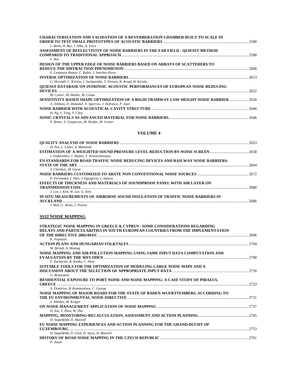| <b>CHARACTERIZATION AND VALIDATION OF A REVERBERATION CHAMBER BUILT TO SCALE IN</b> | 2588  |
|-------------------------------------------------------------------------------------|-------|
| L. Berto, R. Rey, J. Alba, A. Teira                                                 |       |
| ASSESSMENT OF REFLECTIVITY OF NOISE BARRIERS IN THE FAR FIELD - QUIESST METHOD      |       |
|                                                                                     | 2598  |
| F. Roo                                                                              |       |
| <b>DESIGN OF THE UPPER EDGE OF NOISE BARRIERS BASED ON ARRAYS OF SCATTERERS TO</b>  |       |
|                                                                                     | 2608  |
| S. Castinera-Ibanez, C. Rubio, J. Sanchez-Perez                                     |       |
|                                                                                     | 2613  |
| G. Horvath, C. Kirisits, I. Sachpazidis, T. Drewes, K. Krapf, H. Kirisits           |       |
| QUIESST DATABASE ON INTRINSIC ACOUSTIC PERFORMANCES OF EUROPEAN NOISE REDUCING      |       |
|                                                                                     | 2622  |
| M. Conter, M. Haider, M. Czuka                                                      |       |
|                                                                                     |       |
| A. Jolibois, D. Duhamel, V. Sparrow, J. Defrance, P. Jean                           |       |
|                                                                                     | -2640 |
| H. Ng. S. Tang. Y. Chov                                                             |       |
|                                                                                     | 2646  |
| P. Reiter, S. Gasparoni, M. Haider, M. Conter                                       |       |

#### **VOLUME 4**

| 2653  |
|-------|
|       |
|       |
| 2664  |
| -2672 |
| 2680  |
|       |
| 2686  |
|       |

# **SS32 NOISE MAPPING**

| STRATEGIC NOISE MAPPING IN GREECE & CYPRUS - SOME CONSIDERATIONS REGARDING     |      |
|--------------------------------------------------------------------------------|------|
| DELAYS AND PARTICULARITIES IN SOUTH EUROPEAN COUNTRIES FROM THE IMPLEMENTATION |      |
|                                                                                | 2696 |
| K. Vogiatzis                                                                   |      |
| M. Berndt, A. Muntag                                                           |      |
| NOISE MAPPING AND AIR POLLUTION MAPPING USING SAME INPUT DATA COMPUTATION AND  |      |
|                                                                                |      |
| F. Zacharias, R. Kunka, C. Hoar                                                |      |
| SUITABLE TOOLS FOR THE OPTIMIZATION OF MODELING LARGE NOISE MAPS AND A         |      |
|                                                                                |      |
| G. Braunstein                                                                  |      |
| RESIDENTIAL EXPOSURE TO PORT NOISE AND NOISE MAPPING: A CASE STUDY OF PIRAEUS, |      |
|                                                                                |      |
| A. Dimitrios, B. Konstantinos, C. George                                       |      |
| NOISE MAPPING OF MAJOR ROADS FOR THE STATE OF BADEN-WUERTTEMBERG ACCORDING TO  |      |
|                                                                                |      |
| S. Ibbeken, M. Kruger                                                          |      |
|                                                                                |      |
| D. Xia. Y. Zhou. W. Zhu                                                        |      |
|                                                                                |      |
| H. Stapelfeldt, D. Manvell                                                     |      |
| EU NOISE MAPPING EXPERIENCES AND ACTION PLANNING FOR THE GRAND-DUCHY OF        |      |
|                                                                                |      |
| H. Stapelfeldt, D. Glod, D. Styra, D. Manvell                                  |      |
|                                                                                |      |
| $P.$ Junek                                                                     |      |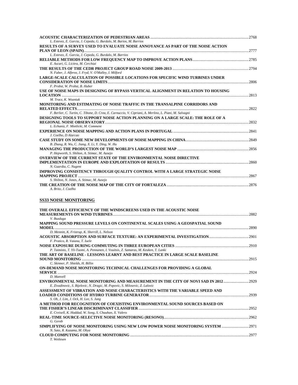| L. Estevez, E. Garcia, J. Cepeda, G. Burdalo, M. Barios, M. Barrios                                     |       |
|---------------------------------------------------------------------------------------------------------|-------|
| RESULTS OF A SURVEY USED TO EVALUATE NOISE ANNOYANCE AS PART OF THE NOISE ACTION                        |       |
|                                                                                                         | 2777  |
| L. Estevez, E. Garcia, J. Cepeda, G. Burdalo, M. Barrios                                                |       |
|                                                                                                         |       |
| E. Ascari, G. Licitra, M. Cerchiai                                                                      |       |
| N. Faber, J. Alferez, J. Fryd, V. O'Malley, I. Milford                                                  | .2794 |
| <b>LARGE-SCALE CALCULATION OF POSSIBLE LOCATIONS FOR SPECIFIC WIND TURBINES UNDER</b>                   |       |
|                                                                                                         | .2806 |
| F. Probst, W. Probst, B. Huber                                                                          |       |
| USE OF NOISE MAPS IN DESIGNING OF BYPASS VERTICAL ALIGNMENT IN RELATION TO HOUSING                      |       |
|                                                                                                         | 2813  |
| M. Tracz, K. Wozniak                                                                                    |       |
| MONITORING AND ESTIMATING OF NOISE TRAFFIC IN THE TRANSALPINE CORRIDORS AND                             |       |
|                                                                                                         | 2822  |
| F. Berlier, C. Tartin, C. Tibone, D. Crea, E. Carnuccio, V. Cipriani, A. Merlino, L. Piani, M. Salvagni |       |
| DESIGNING TOOLS TO SUPPORT NOISE ACTION PLANNING ON A LARGE SCALE: THE ROLE OF A                        |       |
|                                                                                                         | 2832  |
| L. Echaniz, F. Mietlicki, M. Comment                                                                    |       |
|                                                                                                         |       |
| J. Coelho. D Alarcao                                                                                    |       |
|                                                                                                         |       |
| B. Zhang, R. Wu, C. Jiang, X. Li, Y. Ding, W. Hu                                                        |       |
|                                                                                                         |       |
| P. Hepworth, S. Shilton, A. Stimac, M. Ausejo                                                           |       |
| <b>OVERVIEW OF THE CURRENT STATE OF THE ENVIRONMENTAL NOISE DIRECTIVE</b>                               |       |
|                                                                                                         | 2860  |
| N. Guardia, C. Nugent                                                                                   |       |
| IMPROVING CONSISTENCY THROUGH QUALITY CONTROL WITH A LARGE STRATEGIC NOISE                              |       |
|                                                                                                         | 2867  |
| S. Shilton, N. Jones, A. Stimac, M. Ausejo                                                              |       |
| A. Brito. J. Coelho                                                                                     | 2876  |
|                                                                                                         |       |

# **SS33 NOISE MONITORING**

| THE OVERALL EFFICIENCY OF THE WINDSCREENS USED IN THE ACOUSTIC NOISE                 |         |
|--------------------------------------------------------------------------------------|---------|
|                                                                                      | 2882    |
| V. Buzduga                                                                           |         |
| MAPPING SOUND PRESSURE LEVELS ON CONTINENTAL SCALES USING A GEOSPATIAL SOUND         |         |
|                                                                                      | .2890   |
| D. Mennitt, K. Fristrup, K. Sherrill, L. Nelson                                      |         |
|                                                                                      | 2901    |
| F. Pratico, R. Vaiana, T. Iuele                                                      |         |
|                                                                                      | $-2910$ |
| P. Taimisto, T. Yli-Tuomi, A. Pennanen, I. Vouitsis, Z. Samaras, M. Keuken, T. Lanki |         |
| THE ART OF BASELINE - LESSONS LEARNT AND BEST PRACTICE IN LARGE SCALE BASELINE       |         |
|                                                                                      | .2915   |
| C. Skinner, P. Shields, H. Billin                                                    |         |
| ON-DEMAND NOISE MONITORING TECHNICAL CHALLENGES FOR PROVIDING A GLOBAL               |         |
|                                                                                      | 2924    |
| D. Manvell                                                                           |         |
| ENVIRONMENTAL NOISE MONITORING AND MEASUREMENT IN THE CITY OF NOVI SAD IN 2012       | 2929    |
| E. Zivadinovic, S. Bijelovic, N. Dragic, M. Popovic, S. Milosevic, Z. Lalovic        |         |
| ASSESSMENT OF VIBRATION AND NOISE CHARACTERISTICS WITH THE VARIABLE SPEED AND        |         |
|                                                                                      | 2939    |
| S. Oh, J. Lim, J. Ock, H. Lee, S. Jung                                               |         |
| A METHOD FOR RECOGNITION OF COEXISTING ENVIRONMENTAL SOUND SOURCES BASED ON          |         |
|                                                                                      | 2952    |
| E. Creixell, K. Haddad, W. Song, S. Chauhan, X. Valero                               |         |
|                                                                                      | .2962   |
| G. Gereb                                                                             |         |
| SIMPLIFYING OF NOISE MONITORING USING NEW LOW POWER NOISE MONITORING SYSTEM          | 2971    |
| N. Sato, R. Kazama, M. Ohya                                                          |         |
|                                                                                      | 2977    |
| T. Wetlesen                                                                          |         |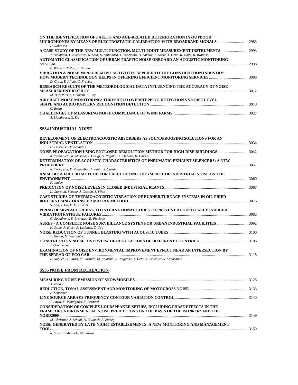| ON THE IDENTIFICATION OF FAULTS AND AGE-RELATED DETERIORATION IN OUTDOOR                                         |      |
|------------------------------------------------------------------------------------------------------------------|------|
|                                                                                                                  |      |
| D. Robinson                                                                                                      |      |
| A CASE STUDY OF THE NEW MULTI-FUNCTION, MULTI-POINT MEASUREMENT INSTRUMENTS2993                                  |      |
| Y. Nakajima, Y. Kurosawa, N. Sato, K. Shinohara, Y. Yonemoto, D. Sakaue, T. Ozaki, T. Ueta, M. Ohya, K. Iwahashi |      |
| AUTOMATIC CLASSIFICATION OF URBAN TRAFFIC NOISE ONBOARD AN ACOUSTIC MONITORING                                   |      |
| <b>SYSTEM</b>                                                                                                    | 2998 |
| P. Wessels, T. Zon, T. Basten                                                                                    |      |
| VIBRATION & NOISE MEASUREMENT ACTIVITIES APPLIED TO THE CONSTRUCTION INDUSTRY:                                   |      |
|                                                                                                                  |      |
| D. Croix, E. Aflalo, C. Freneat                                                                                  |      |
| RESEARCH RESULTS OF THE METEOROLOGICAL DATA INFLUENCING THE ACCURACY OF NOISE                                    |      |
|                                                                                                                  | 3012 |
| M. Bite, P. Bite, I. Dombi, E. Fay                                                                               |      |
| AIRCRAFT NOISE MONITORING: THRESHOLD OVERSTEPPING DETECTION VS NOISE LEVEL                                       |      |
|                                                                                                                  | 3018 |
| C. Rosin                                                                                                         |      |
|                                                                                                                  |      |
| A. Lighthouse, G. Du                                                                                             |      |

# **SS34 INDUSTRIAL NOISE**

| DEVELOPMENT OF ELECTROACOUSTIC ABSORBERS AS SOUNDPROOFING SOLUTIONS FOR AN                                                                               |   |
|----------------------------------------------------------------------------------------------------------------------------------------------------------|---|
| H. Lissek, V. Desarnaulds                                                                                                                                |   |
| NOISE PROPAGATION USING ENCLOSED DEMOLITION METHOD FOR HIGH-RISE BUILDINGS 3042<br>K. Yamaguchi, K. Masuda, J. Utsugi, A. Nagata, H. Ichihara, K. Umetsu |   |
| DETERMINATION OF ACOUSTIC CHARACTERISTICS OF PNEUMATIC EXHAUST SILENCERS: A NEW                                                                          |   |
|                                                                                                                                                          |   |
| N. Trompette, E. Vauquelin, H. Pepin, X. Carniel                                                                                                         |   |
| ANIME3D: A FULL 3D METHOD FOR CALCULATING THE IMPACT OF INDUSTRIAL NOISE ON THE                                                                          |   |
|                                                                                                                                                          |   |
| F. Junker                                                                                                                                                |   |
|                                                                                                                                                          |   |
| L. Otero, M. Seoane, J. Cespon, J. Vilan                                                                                                                 |   |
| CASE STUDIES OF THERMOACOUSTIC VIBRATION OF BURNER/FURNACE SYSTEMS IN OIL FIRED                                                                          |   |
|                                                                                                                                                          |   |
| S. Ahn, J. Ha, Y. Ju, C. Kim                                                                                                                             |   |
| PIPING DESIGN ACCORDING TO INTERNATIONAL CODES TO PREVENT ACOUSTICALLY INDUCED                                                                           |   |
|                                                                                                                                                          |   |
| G. Squadrone, E. Brunazzo, E. Piccione                                                                                                                   |   |
| AURES - A COMPLETE NOISE SURVEILLANCE SYSTEN FOR URBAN INDUSTRIAL FACILITIES 3092                                                                        |   |
| K. Saine, R. Hjort, A. Leskinen, Z. Gao                                                                                                                  |   |
|                                                                                                                                                          |   |
| Y. Honda, M. Watanabe                                                                                                                                    |   |
|                                                                                                                                                          |   |
| J. Granneman                                                                                                                                             |   |
| <b>EXAMINATION OF NOISE ENVIRONMENTAL IMPROVEMENT EFFECT NEAR AN INTERSECTION BY</b>                                                                     |   |
|                                                                                                                                                          |   |
| E. Noguchi, H. Mori, M. Yoshida, M. Kokusho, H. Nagaoka, T. Ueta, K. Ishikawa, S. Kabashima                                                              |   |
| <b>SS35 NOISE FROM RECREATION</b>                                                                                                                        |   |
| X. Zhang                                                                                                                                                 |   |
|                                                                                                                                                          | . |

| X. Zhang                                                                           |      |
|------------------------------------------------------------------------------------|------|
|                                                                                    |      |
| F. Schermer                                                                        |      |
|                                                                                    |      |
| J. Laval, F. Montignies, F. Bernard                                                |      |
| <b>CONSIDERATION OF COMPLEX LOUDSPEAKER SETUPS, INCLUDING PHASE EFFECTS IN THE</b> |      |
| FRAME OF ENVIRONMENTAL NOISE PREDICTIONS ON THE BASIS OF THE ISO 9613-2 AND THE    |      |
|                                                                                    | 3149 |
| M. Christner, J. Schaal, D. Zollitsch, R. Zuleeg                                   |      |
| NOISE GENERATED BY LATE-NIGHT ESTABLISHMENTS: A NEW MONITORING AND MANAGEMENT      |      |
|                                                                                    | 3159 |
|                                                                                    |      |

*R. Silva, F. Mietlicki, M. Sineau*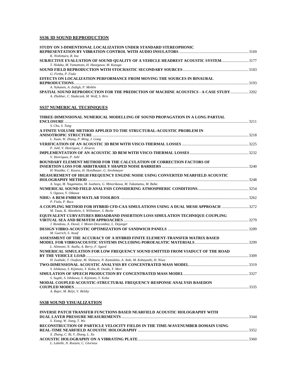# **SS36 3D SOUND REPRODUCTION**

| STUDY ON 3-DIMENTIONAL LOCALIZATION UNDER STANDARD STEREOPHONIC                       |       |
|---------------------------------------------------------------------------------------|-------|
|                                                                                       |       |
| K. Nishimura, R. Ina                                                                  |       |
| SUBJECTIVE EVALUATION OF SOUND QUALITY OF A VEHICLE HEADREST ACOUSTIC SYSTEM3177      |       |
| T. Hidaka, M. Yamamoto, H. Hasegawa, M. Kasuga                                        |       |
|                                                                                       |       |
| G. Firtha, P. Fiala                                                                   |       |
| EFFECTS ON LOCALIZATION PERFORMANCE FROM MOVING THE SOURCES IN BINAURAL               |       |
|                                                                                       | -3193 |
| A. Nykanen, A. Zedigh, P. Mohlin                                                      |       |
| SPATIAL SOUND REPRODUCTION FOR THE PREDICTION OF MACHINE ACOUSTICS - A CASE STUDY3202 |       |
| A. Zhykhar, C. Sladeczek, M. Wolf, S. Brix                                            |       |

#### **SS37 NUMERICAL TECHNIQUES**

| THREE-DIMENSIONAL NUMERICAL MODELLING OF SOUND PROPAGATION IN A LONG PARTIAL     |      |
|----------------------------------------------------------------------------------|------|
| <b>ENCLOSURE</b>                                                                 | 3211 |
| S. Chu, S. Tang                                                                  |      |
| A FINITE VOLUME METHOD APPLIED TO THE STRUCTURAL-ACOUSTIC PROBLEM IN             |      |
|                                                                                  |      |
| L. Xuan, W. Zhang, P. Ming, J. Gong                                              |      |
|                                                                                  |      |
| P. Juhl, V. Henriquez, J. Alvarez                                                |      |
|                                                                                  |      |
| V. Henriquez, P. Juhl                                                            |      |
| <b>BOUNDARY ELEMENT METHOD FOR THE CALCULATION OF CORRECTION FACTORS OF</b>      |      |
|                                                                                  |      |
| H. Waubke, C. Kasess, H. Hoislbauer, G. Strohmayer                               |      |
| MEASUREMENT OF HIGH FREQUENCY ENGINE NOISE USING CONVERTED NEARFIELD ACOUSTIC    |      |
|                                                                                  |      |
| A. Soga, M. Nagamatsu, M. Iwahara, G. Minorikawa, M. Takamatsu, M. Baba          |      |
|                                                                                  |      |
| S. Ogawa, Y. Oikawa                                                              |      |
|                                                                                  |      |
| P. Fiala, P. Rucz                                                                |      |
| A COUPLING METHOD FOR HYBRID CFD-CAA SIMULATIONS USING A DUAL MESH APPROACH 3272 |      |
| M. Tautz, K. Altenhein, S. Willmitzer, S. Becke                                  |      |
| EQUIVALENT CURVATURES BROADBAND INSERTION LOSS SIMULATION TECHNIQUE COUPLING     |      |
|                                                                                  |      |
| J. Rondeau, A. Duval, J. Monet-Descombey, L. Dejaeger                            |      |
|                                                                                  |      |
| M. Guerich, S. Assaf                                                             |      |
| ASSESSMENT OF THE ACCURACY OF A HYBRID FINITE ELEMENT-TRANSFER MATRIX BASED      |      |
|                                                                                  |      |
| L. Alimonti, N. Atalla, A. Berry, F. Sgard                                       |      |
| NUMERICAL SIMULATION FOR LOW FREOUENCY SOUND EMITTED FROM VIADUCT OF THE ROAD    |      |
|                                                                                  |      |
| H. Iwabuki, T. Osafune, M. Shimura, N. Kamiakito, A. Aoki, M. Kobayashi, H. Niwa |      |
|                                                                                  |      |
| S. Ishikawa, S. Kijimoto, Y. Koba, R. Owaki, Y. Mori                             |      |
|                                                                                  |      |
| S. Sugiki, S. Ishikawa, S. Kijimoto, Y. Koba                                     |      |
| MODAL COUPLED ACOUSTIC-STRUCTURAL FREQUENCY-RESPONSE ANALYSIS BASEDON            |      |
|                                                                                  |      |
| A. Bajer, M. Belyi, V. Belsky                                                    |      |

### **SS38 SOUND VISUALIZATION**

| <b>INVERSE PATCH TRANSFER FUNCTIONS BASED NEARFIELD ACOUSTIC HOLOGRAPHY WITH</b> |      |
|----------------------------------------------------------------------------------|------|
|                                                                                  | 3344 |
| S. Xiang, W. Jiang, T. Wu                                                        |      |
| RECONSTRUCTION OF PARTICLE VELOCITY FIELDS IN THE TIME-WAVENUMBER DOMAIN USING   |      |
|                                                                                  | 3352 |
| X. Zhang, C. Bi, Y. Zhang, L. Xu                                                 |      |
|                                                                                  | 3360 |
| L. Labelle, N. Roozen, C. Glorieux                                               |      |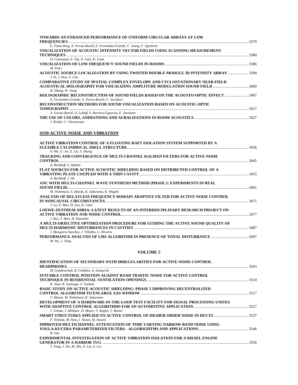| <b>TOWARDS AN ENHANCED PERFORMANCE OF UNIFORM CIRCULAR ARRAYS AT LOW</b>                                                                | 3370 |
|-----------------------------------------------------------------------------------------------------------------------------------------|------|
| E. Tiana-Roig, A. Torras-Rosell, E. Fernandez-Grande, C. Jeong, F. Agerkvist                                                            |      |
| VISUALIZATION OF ACOUSTIC INTENSITY VECTOR FIELDS USING SCANNING MEASUREMENT                                                            |      |
|                                                                                                                                         |      |
| D. Comesana, E. Tijs, P. Cats, D. Cook                                                                                                  |      |
|                                                                                                                                         |      |
| M. Peter                                                                                                                                |      |
| ACOUSTIC SOURCE LOCALIZATION BY USING TWISTED DOUBLE-MODULE 3D INTENSITY ARRAY3394<br>J. Ih. J. Woo. S. Cho                             |      |
| COMPARATIVE STUDY OF SPATIAL COMPLEX ENVELOPE AND CYCLOSTATIONARY NEAR-FIELD                                                            |      |
| ACOUSTICAL HOLOGRAPHY FOR VISUALIZING AMPLITUDE MODULATION SOUND FIELD 3400<br>H. Zhang, W. Jiang                                       |      |
| HOLOGRAPHIC RECONSTRUCTION OF SOUND FIELDS BASED ON THE ACOUSTO-OPTIC EFFECT 3407<br>E. Fernandez-Grande, A. Torras-Rosell, F. Jacobsen |      |
| RECONSTRUCTION METHODS FOR SOUND VISUALIZATION BASED ON ACOUSTIC-OPTIC                                                                  |      |
|                                                                                                                                         | 3417 |
| A. Torras-Rosell, O. Lylloff, S. Barrera-Figueroa, F. Jacobsen                                                                          |      |
| J. Rindel, C. Christensen                                                                                                               |      |

# **SS39 ACTIVE NOISE AND VIBRATION**

| 3436 |
|------|
|      |
|      |
|      |
|      |
|      |
|      |
|      |
|      |
| 3461 |
|      |
|      |
| 3471 |
|      |
|      |
| 3477 |
|      |
|      |
| 3487 |
|      |
|      |
|      |
|      |

#### **VOLUME 5**

| <b>IDENTIFICATION OF SECONDARY-PATH IRREGULARITIES FOR ACTIVE-NOISE-CONTROL</b>     |  |
|-------------------------------------------------------------------------------------|--|
|                                                                                     |  |
| M. Guldenschuh, R. Callafon, A. Sontacchi                                           |  |
| SUITABLE CONTROL POSITION AGAINST ROAD TRAFFIC NOISE FOR ACTIVE CONTROL             |  |
|                                                                                     |  |
| K. Anai, K. Suetsugu, S. Tsubaki                                                    |  |
| <b>BASIC STUDY ON ACTIVE ACOUSTIC SHIELDING: PHASE 5 IMPROVING DECENTRALIZED</b>    |  |
|                                                                                     |  |
| T. Murao, M. Nishimura, K. Sakurama                                                 |  |
| DEVELOPMENT OF A HARDWARE-IN-THE-LOOP TEST FACILITY FOR SIGNAL PROCESSING UNITES    |  |
|                                                                                     |  |
| J. Vrbata, J. Millitzer, D. Mayer, T. Roglin, T. Bartel                             |  |
| SMART STRUCTURES APPLIED TO ACTIVE CONTROL OF HIGHER ORDER NOISE IN DUCTS 3537      |  |
| P. Nishida, M. Neto, I. Nunez, M. Duarte                                            |  |
| IMPROVED MULTICHANNEL ATTENUATION OF TIME VARYING NARROW BAND NOISE USING           |  |
|                                                                                     |  |
| B. Vau                                                                              |  |
| <b>EXPERIMENTAL INVESTIGATION OF ACTIVE VIBRATION ISOLATION FOR A DIESEL ENGINE</b> |  |
|                                                                                     |  |
| T. Yang, J. Du, M. Zhu, X. Liu, Z. Liu                                              |  |
|                                                                                     |  |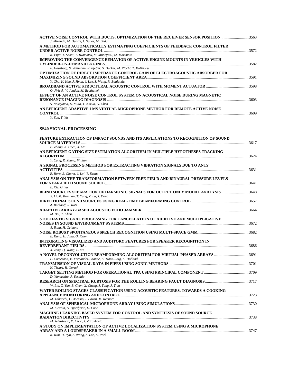| ACTIVE NOISE CONTROL WITH DUCTS: OPTIMIZATION OF THE RECEIVER SENSOR POSITION 3563<br>J. Miranda, M. Duarte, I. Nunez, M. Badan |       |
|---------------------------------------------------------------------------------------------------------------------------------|-------|
| A METHOD FOR AUTOMATICALLY ESTIMATING COEFFICIENTS OF FEEDBACK CONTROL FILTER                                                   |       |
|                                                                                                                                 | 3572  |
| K. Fujii, T. Sakai, Y. Iwamatsu, M. Muneyasu, M. Morimoto                                                                       |       |
| IMPROVING THE CONVERGENCE BEHAVIOR OF ACTIVE ENGINE MOUNTS IN VEHICLES WITH                                                     |       |
|                                                                                                                                 |       |
| F. Hausberg, S. Vollmann, P. Pfeffer, S. Hecker, M. Plochl, T. Kolkhorst                                                        |       |
| OPTIMIZATION OF DIRECT IMPEDANCE CONTROL GAIN OF ELECTROACOUSTIC ABSORBER FOR                                                   |       |
|                                                                                                                                 |       |
| Y. Cho, K. Kim, J. Hyun, J. Lee, S. Wang, R. Boulandet                                                                          |       |
|                                                                                                                                 |       |
| O. Jiricek, V. Jandak, M. Brothanek                                                                                             |       |
| EFFECT OF AN ACTIVE NOISE CONTROL SYSTEM ON ACOUSTICAL NOISE DURING MAGNETIC                                                    |       |
|                                                                                                                                 | 3603  |
| S. Nakayama, K. Muto, Y. Kazuo, G. Chen                                                                                         |       |
| AN EFFICIENT ADAPTIVE LMS VIRTUAL MICROPHONE METHOD FOR REMOTE ACTIVE NOISE                                                     |       |
| $CONTROL                           $                                                                                            | .3609 |

*Y. Zou, Y. Yu* 

# **SS40 SIGNAL PROCESSING**

| <b>FEATURE EXTRACTION OF IMPACT SOUNDS AND ITS APPLICATIONS TO RECOGNITION OF SOUND</b> |  |
|-----------------------------------------------------------------------------------------|--|
|                                                                                         |  |
| B. Zhang, K. Chen, X. Ma                                                                |  |
| AN EFFICIENT GATING SIZE ESTIMATION ALGORITHM IN MULTIPLE HYPOTHESES TRACKING           |  |
|                                                                                         |  |
| Y. Cang, R. Zhang, W. Sun                                                               |  |
| A SIGNAL PROCESSING METHOD FOR EXTRACTING VIBRATION SIGNALS DUE TO ANTS'                |  |
|                                                                                         |  |
| E. Baro, S. Oberst, J. Lai, T. Evans                                                    |  |
| ANALYSIS ON THE TRANSFORMATION BETWEEN FREE-FIELD AND BINAURAL PRESSURE LEVELS          |  |
|                                                                                         |  |
| B. Xie, G. Yu                                                                           |  |
| BLIND SOURCES SEPARATION OF HARMONIC SIGNALS FOR OUTPUT ONLY MODAL ANALYSIS 3648        |  |
| X. Li, M. Brennan, T. Yang, Z. Lu, J. Dong                                              |  |
|                                                                                         |  |
| A. Berkhoff, R. Rots                                                                    |  |
|                                                                                         |  |
| M. Bai, Y. Chen                                                                         |  |
| STOCHASTIC SIGNAL PROCESSING FOR CANCELLATION OF ADDITIVE AND MULTIPLICATIVE            |  |
|                                                                                         |  |
| A. Ikuta, H. Orimoto                                                                    |  |
|                                                                                         |  |
| B. Kang, H. Jung, O. Kwon                                                               |  |
| INTEGRATING VISUALIZED AND AUDITORY FEATURES FOR SPEAKER RECOGNITION IN                 |  |
|                                                                                         |  |
| X. Zeng, Q. Wang, L. Ma                                                                 |  |
|                                                                                         |  |
| F. Comesana, E. Fernandez-Grande, E. Tiana-Roig, K. Holland                             |  |
|                                                                                         |  |
| N. Tiwari, R. Oorath                                                                    |  |
|                                                                                         |  |
| D. Yamashita, J. Yoshida                                                                |  |
|                                                                                         |  |
| W. Liu, Z. Yan, B. Chen, X. Cheng, J. Yang, J. Tian                                     |  |
| WATER BOILING STAGES CLASSIFICATION USING ACOUSTIC FEATURES. TOWARDS A COOKING          |  |
|                                                                                         |  |
| M. Tabacchi, C. Asensio, I. Pavon, M. Recuero                                           |  |
|                                                                                         |  |
| M. Licanin, A. Djordjevic, D. Ciric                                                     |  |
| MACHINE LEARNING BASED SYSTEM FOR CONTROL AND SYNTHESIS OF SOUND SOURCE                 |  |
|                                                                                         |  |
| M. Jelenkovic, D. Ciric, J. Zdravkovic                                                  |  |
| A STUDY ON IMPLEMENTATION OF ACTIVE LOCALIZATION SYSTEM USING A MICROPHONE              |  |
|                                                                                         |  |
| K. Kim, H. Ryu, S. Wang, S. Lee, K. Park                                                |  |
|                                                                                         |  |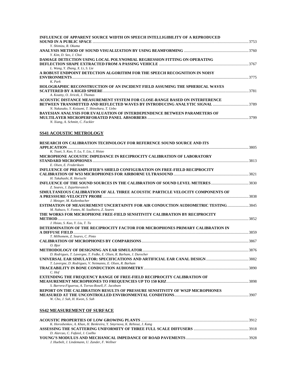| INFLUENCE OF APPARENT SOURCE WIDTH ON SPEECH INTELLIGIBILITY OF A REPRODUCED     | 3753 |
|----------------------------------------------------------------------------------|------|
| Y. Shimizu, R. Okuma                                                             |      |
|                                                                                  |      |
| Y. Kim, D. Seo, J. Choi                                                          |      |
| DAMAGE DETECTION USING LOCAL POLYNOMIAL REGRESSION FITTING ON OPERATING          |      |
|                                                                                  |      |
| L. Wang, Y. Zhang, X. Li, S. Lie                                                 |      |
| A ROBUST ENDPOINT DETECTION ALGORITHM FOR THE SPEECH RECOGNITION IN NOISY        |      |
|                                                                                  | 3775 |
| K. Park                                                                          |      |
| HOLOGRAPHIC RECONSTRUCTION OF AN INCIDENT FIELD ASSUMING THE SPHERICAL WAVES     |      |
|                                                                                  | 3781 |
| A. Koutny, O. Jiricek, J. Thomas                                                 |      |
| ACOUSTIC DISTANCE MEASUREMENT SYSTEM FOR CLOSE-RANGE BASED ON INTERFERENCE       |      |
|                                                                                  |      |
| N. Nakasako, Y. Koizumi, T. Shinohara, T. Uebo                                   |      |
| <b>BAYESIAN ANALYSIS FOR EVALUATION OF INTERDEPENDENCE BETWEEN PARAMETERS OF</b> |      |
|                                                                                  | 3799 |
| N. Xiang, A. Schmitt, C. Fackler                                                 |      |

# **SS41 ACOUSTIC METROLOGY**

| RESEARCH ON CALIBRATION TECHNOLOGY FOR REFERENCE SOUND SOURCE AND ITS                    |  |
|------------------------------------------------------------------------------------------|--|
|                                                                                          |  |
| K. Tsuei, S. Kuo, Y. Lu, Y. Liu, J. Hsiao                                                |  |
| MICROPHONE ACOUSTIC IMPEDANCE IN RECIPROCITY CALIBRATION OF LABORATORY                   |  |
|                                                                                          |  |
| E. Olsen, E. Frederiksen                                                                 |  |
| <b>INFLUENCE OF PREAMPLIFIER'S SHIELD CONFIGURATION ON FREE-FIELD RECIPROCITY</b>        |  |
|                                                                                          |  |
| H. Takahashi, R. Horiuchi                                                                |  |
|                                                                                          |  |
| Z. Soares, J. Zajarkievaiech                                                             |  |
| SIMULTANEOUS CALIBRATION OF ALL THREE ACOUSTIC PARTICLE VELOCITY COMPONENTS OF           |  |
|                                                                                          |  |
| J. Metzger, M. Kaltenbacher                                                              |  |
| <b>ESTIMATION OF MEASUREMENT UNCERTAINTY FOR AIR CONDUCTION AUDIOMETRIC TESTING 3845</b> |  |
| M. Nabuco, V. Fontes, M. Soalheiro, Z. Soares                                            |  |
| THE WORKS FOR MICROPHONE FREE-FIELD SENSITIVITY CALIBRATION BY RECIPROCITY               |  |
|                                                                                          |  |
| J. Hsiao, S. Kuo, Y. Liu, T. Tu                                                          |  |
| DETERMINATION OF THE RECIPROCITY FACTOR FOR MICROPHONES PRIMARY CALIBRATION IN           |  |
|                                                                                          |  |
| T. Milhomem, Z. Soares, C. Pinto                                                         |  |
|                                                                                          |  |
| O. Bjor                                                                                  |  |
|                                                                                          |  |
| D. Rodrigues, T. Lavergne, T. Fedke, E. Olsen, R. Barham, J. Durocher                    |  |
|                                                                                          |  |
| T. Lavergne, D. Rodrigues, V. Neimanns, E. Olsen, R. Barham                              |  |
|                                                                                          |  |
| $C.$ Hof                                                                                 |  |
| <b>EXTENDING THE FREQUENCY RANGE OF FREE-FIELD RECIPROCITY CALIBRATION OF</b>            |  |
|                                                                                          |  |
| S. Barrera-Figueroa, A. Torras-Rosell, F. Jacobsen                                       |  |
| REPORT ON THE CALIBRATION RESULTS OF PRESSURE SENSITIVITY OF WS2P MICROPHONES            |  |
|                                                                                          |  |
| W. Cho. J. Suh. H. Kwon. S. Suh                                                          |  |
|                                                                                          |  |
| <b>SS42 MEASUREMENT OF SURFACE</b>                                                       |  |
|                                                                                          |  |

| K. Horoshenkov, A. Khan, H. Benkreira, Y. Smyrnova, K. Rehioui, J. Kang |  |
|-------------------------------------------------------------------------|--|
|                                                                         |  |
| D. Alarcao, C. Fafaiol, J. Coelho                                       |  |
|                                                                         |  |
| J. Huebelt, J. Lindemann, U. Zander, F. Wellner                         |  |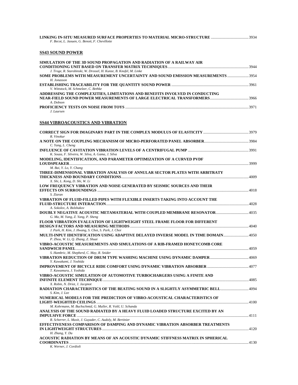| F. Becot, L. Jaouen, G. Benoit, F. Chevillotte                                                                                                         |  |
|--------------------------------------------------------------------------------------------------------------------------------------------------------|--|
| SS43 SOUND POWER                                                                                                                                       |  |
| SIMULATION OF THE 3D SOUND PROPAGATION AND RADIATION OF A RAILWAY AIR                                                                                  |  |
| J. Troge, R. Starobinski, W. Drossel, H. Kunze, B. Knofel, M. Linke<br>SOME PROBLEMS WITH MEASUREMENT UNCERTAINTY AND SOUND EMISSION MEASUREMENTS 3954 |  |
| H. Jonasson<br>V. Wittstock, M. Schmelzer, C. Bethke                                                                                                   |  |
| ADDRESSING THE COMPLEXITIES, LIMITATIONS AND BENEFITS INVOLVED IN CONDUCTING<br>A. Dobson                                                              |  |
| J. Laursen                                                                                                                                             |  |
| <u>SS44 VIBROACOUSTICS AND VIBRATION</u>                                                                                                               |  |
| R. Vinokur                                                                                                                                             |  |
| C. Yang, L. Cheng                                                                                                                                      |  |
| K. Souza, F. Silveira, W. Silva, A. Gama, J. Silva                                                                                                     |  |
| MODELING, IDENTIFICATION, AND PARAMETER OPTIMIZATION OF A CURVED PVDF                                                                                  |  |
| M. Bai, Y. Lo, Y. Chang<br>THREE-DIMENSIONAL VIBRATION ANALYSIS OF ANNULAR SECTOR PLATES WITH ARBITRATY                                                |  |
| X. Shi, L. Kong, D. Shi, W. Li<br>LOW FREQUENCY VIBRATION AND NOISE GENERATED BY SEISMIC SOURCES AND THEIR<br>S. Ziaran                                |  |
| VIBRATION OF FLUID-FILLED PIPES WITH FLEXIBLE INSERTS TAKING INTO ACCOUNT THE                                                                          |  |
| A. Sokolov, A. Bolshakov<br>DOUBLY NEGATIVE ACOUSTIC METAMATERIAL WITH COUPLED MEMBRANE RESONATOR 4035<br>G. Ma, M. Yang, Z. Yang, P. Sheng            |  |
| FLOOR VIBRATION EVALUATION OF LIGHTWEIGHT STEEL FRAME FLOOR FOR DIFFERENT<br>J. Park, H. Kim, J. Hwang, S. Choi, S. Park, J. Choi                      |  |
| MULTI-INPUT IDENTIFICATION USING ADAPTIVE DELAYED INVERSE MODEL IN TIME DOMAIN4050<br>P. Zhou, W. Li, Q. Zhang, Z. Shuai                               |  |
| VIBRO-ACOUSTIC MEASUREMENTS AND SIMULATIONS OF A RIB-FRAMED HONEYCOMB CORE                                                                             |  |
| S. Hambric, M. Shepherd, C. May, R. Snider                                                                                                             |  |
| Y. Kawakami, J. Yoshida                                                                                                                                |  |
| T. Kawamura, J. Yoshida<br>VIBRO-ACOUSTIC SIMULATION OF AUTOMOTIVE TURBOCHARGERS USING A FINITE AND                                                    |  |
| X. Robin, N. Driot, J. Jacqmot<br>RADIATION CHARACTERISTICS OF THE BEATING SOUND IN A SLIGHTLY ASYMMETRIC BELL4094<br>S. Kim, J. Lee                   |  |
| NUMERICAL MODELS FOR THE PREDICTION OF VIBRO-ACOUSTICAL CHARACTERISTICS OF                                                                             |  |
| M. Kohrmann, M. Buchschmid, G. Muller, R. Voltl, U. Schanda<br>ANALYSIS OF THE SOUND RADIATED BY A HEAVY FLUID LOADED STRUCTURE EXCITED BY AN          |  |
| R. Scherrer, L. Maxit, J. Guyader, C. Audoly, M. Bertinier<br>EFFECTIVENESS COMPARISON OF DAMPING AND DYNAMIC VIBRATION ABSORBER TREATMENTS            |  |
| H. Zhang, Y. Du<br>ACOUSTIC RADIATION BY MEANS OF AN ACOUSTIC DYNAMIC STIFFNESS MATRIX IN SPHERICAL<br>K. Werner, J. Cordioli                          |  |
|                                                                                                                                                        |  |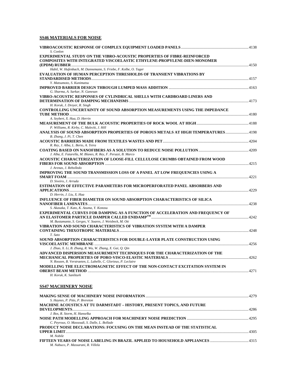# **SS46 MATERIALS FOR NOISE**

| S. Conlon<br><b>EXPERIMENTAL STUDY ON THE VIBRO-ACOUSTIC PROPERTIES OF FIBRE-REINFORCED</b> |  |
|---------------------------------------------------------------------------------------------|--|
| <b>COMPOSITES WITH INTEGRATED VISCOELASTIC ETHYLENE-PROPYLENE-DIEN-MONOMER</b>              |  |
|                                                                                             |  |
| Habil, W. Hufenbach, M. Dannemann, S. Friebe, F. Kolbe, O. Tager                            |  |
| <b>EVALUATION OF HUMAN PERCEPTION THRESHOLDS OF TRANSIENT VIBRATIONS BY</b>                 |  |
| Y. Matsumoto, S. Kunimatsu                                                                  |  |
|                                                                                             |  |
| G. Sharma, A. Sarkar, N. Ganesan                                                            |  |
| VIBRO-ACOUSTIC RESPONSES OF CYLINDRICAL SHELLS WITH CARDBOARD LINERS AND                    |  |
|                                                                                             |  |
| H. Koruk, J. Dreyer, R. Singh                                                               |  |
| CONTROLLING UNCERTAINTY OF SOUND ABSORPTION MEASUREMENTS USING THE IMPEDANCE                |  |
|                                                                                             |  |
| A. Seybert, X. Hua, D. Herrin                                                               |  |
|                                                                                             |  |
| P. Williams, R. Kirby, C. Malecki, J. Hill                                                  |  |
| ANALYSIS OF SOUND ABSORPTION PROPERTIES OF POROUS METALS AT HIGH TEMPERATURES 4198          |  |
| B. Zhang, J. Pi, T. Chen                                                                    |  |
|                                                                                             |  |
| R. Rey, J. Alba, L. Berto, A. Teira                                                         |  |
| J. Alba, E. Fatarella, M. Blanes, R. Rey, F. Peruzzi, B. Marco                              |  |
| ACOUSTIC CHARACTERIZATION OF LOOSE-FILL CELLULOSE CRUMBS OBTAINED FROM WOOD                 |  |
|                                                                                             |  |
| J. Arenas, J. Rebolledo                                                                     |  |
| IMPROVING THE SOUND TRANSMISSION LOSS OF A PANEL AT LOW FREQUENCIES USING A                 |  |
|                                                                                             |  |
| D. Siveiro, J. Arruda                                                                       |  |
| <b>ESTIMATION OF EFFECTIVE PARAMETERS FOR MICROPERFORATED PANEL ABSORBERS AND</b>           |  |
|                                                                                             |  |
| D. Herrin, J. Liu, X. Hua                                                                   |  |
| <b>INFLUENCE OF FIBER DIAMETER ON SOUND ABSORPTION CHARACTERISTICS OF SILICA</b>            |  |
|                                                                                             |  |
| S. Akasaka, T. Kato, K. Azuma, Y. Konosu                                                    |  |
| EXPERIMENTAL CURVES FOR DAMPING AS A FUNCTION OF ACCELERATION AND FREQUENCY OF              |  |
| M. Bustamante, S. Gerges, V. Soares, J. Weisbeck, M. Ott                                    |  |
| VIBRATION AND SOUND CHARACTERISTICS OF VIBRATION SYSTEM WITH A DAMPER                       |  |
|                                                                                             |  |
| T. Sato                                                                                     |  |
| SOUND ABSORPTION CHARACTERISTICS FOR DOUBLE-LAYER PLATE CONSTRUCTION USING                  |  |
|                                                                                             |  |
| J. Zhao, X. Li, B. Zhang, R. Wu, W. Zhang, X. Gai, Q. Qin                                   |  |
| ADVANCED DISPERSION MEASUREMENT TECHNIQUES FOR THE CHARACTERIZATION OF THE                  |  |
|                                                                                             |  |
| N. Roozen, B. Verstraeten, L. Labelle, C. Glorieux, P. Leclaire                             |  |
| MODELLING THE ELECTROMAGNETIC EFFECT OF THE NON-CONTACT EXCITATION SYSTEM IN                |  |
|                                                                                             |  |
| H. Koruk, K. Sanliturk                                                                      |  |
|                                                                                             |  |
| <b>SS47 MACHINERY NOISE</b>                                                                 |  |
|                                                                                             |  |

| S. Haynes, P. Pitts, P. Brereton                                               |  |
|--------------------------------------------------------------------------------|--|
| <b>MACHINE ACOUSTICS AT TU DARMSTADT - HISTORY, PRESENT TOPICS, AND FUTURE</b> |  |
|                                                                                |  |
| J. Bos. R. Storm. H. Hanselka                                                  |  |
|                                                                                |  |
| C. Peyroux, O. Massoudi, S. Dalle, L. Bollade                                  |  |
| PRODUCT NOISE DECLARATIONS: FOCUSING ON THE MEAN INSTEAD OF THE STATISTICAL    |  |
| <b>UPPER LIMIT</b>                                                             |  |
| M. Nobile                                                                      |  |
|                                                                                |  |
| M. Nabuco, P. Massarani, R. Villela                                            |  |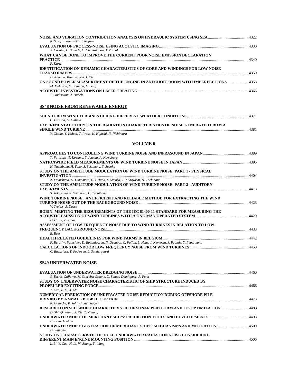| K. Sato, T. Yamazaki, E. Kojima                                                                                             |  |
|-----------------------------------------------------------------------------------------------------------------------------|--|
| X. Carniel, L. Bollade, C. Chassaignon, J. Pascal                                                                           |  |
| WHAT CAN BE DONE TO IMPROVE THE CURRENT POOR NOISE EMISSION DECLARATION                                                     |  |
| P. Kurtz                                                                                                                    |  |
| IDENTIFICATION ON DYNAMIC CHARACTERISTICS OF CORE AND WINDINGS FOR LOW NOISE                                                |  |
| D. Nam, W. Kim, W. Joo, J. Kim                                                                                              |  |
| ON SOUND POWER MEASUREMENT OF THE ENGINE IN ANECHOIC ROOM WITH IMPERFECTIONS  4358                                          |  |
| M. Mehrgou, O. Jonsson, L. Feng                                                                                             |  |
| J. Lindemann, J. Hubelt                                                                                                     |  |
|                                                                                                                             |  |
| <b>SS48 NOISE FROM RENEWABLE ENERGY</b>                                                                                     |  |
|                                                                                                                             |  |
| C. Larsson, O. Ohlund                                                                                                       |  |
| EXPERIMENTAL STUDY ON THE RADIATION CHARACTERISTICS OF NOISE GENERATED FROM A                                               |  |
|                                                                                                                             |  |
| Y. Okada, Y. Koichi, T. Iwase, K. Higashi, N. Nishimura                                                                     |  |
| <b>VOLUME 6</b>                                                                                                             |  |
|                                                                                                                             |  |
| T. Fujitsuka, T. Koyama, Y. Azuma, A. Kuwabara                                                                              |  |
|                                                                                                                             |  |
| H. Tachibana, H. Yano, S. Sakamoto, S. Sueoka<br>STUDY ON THE AMPLITUDE MODULATION OF WIND TURBINE NOISE: PART 1 - PHYSICAL |  |
|                                                                                                                             |  |
| A. Fukushima, K. Yamamoto, H. Uchida, S. Sueoka, T. Kobayashi, H. Tachibana                                                 |  |
| STUDY ON THE AMPLITUDE MODULATION OF WIND TURBINE NOISE: PART 2 - AUDITORY                                                  |  |
| S. Yokoyama, S. Sakamoto, H. Tachibana                                                                                      |  |
| WIND TURBINE NOISE : AN EFFICIENT AND RELIABLE METHOD FOR EXTRACTING THE WIND                                               |  |
| V. Trefois, S. Dasse                                                                                                        |  |
| ROBIN: MEETING THE REQUIREMENTS OF THE IEC 61400-11 STANDARD FOR MEASURING THE                                              |  |
| D. Croix, T. Klaas                                                                                                          |  |
| ASSESSMENT OF LOW-FREQUENCY NOISE DUE TO WIND-TURBINES IN RELATION TO LOW-                                                  |  |
| E. Beer                                                                                                                     |  |
|                                                                                                                             |  |
| F. Berg, W. Passchier, D. Botteldooren, N. Deggoui, C. Fallon, L. Hens, J. Nemerlin, J. Pauluis, Y. Pepermans               |  |
| C. Backalarz, T. Pedersen, L. Sondergaard                                                                                   |  |
|                                                                                                                             |  |
| SS49 UNDERWATER NOISE                                                                                                       |  |
|                                                                                                                             |  |
| S. Torres-Guijarro, M. Sobreira-Seoane, D. Santos-Dominguez, A. Pena                                                        |  |
| STUDY ON UNDERWATER NOISE CHARACTERISTIC OF SHIP STRUCTURE INDUCED BY                                                       |  |
| Y. Cao, L. Li, X. Ma                                                                                                        |  |
| NUMERICAL PREDICTION OF UNDERWATER NOISE REDUCTION DURING OFFSHORE PILE                                                     |  |
| K. Gottsche, P. Juhl, U. Steinhagen                                                                                         |  |
| RESEARCH ON SELF-NOISE CHARACTERISTIC OF SONAR PLATFORM AND ITS OPTIMIZATION 4483                                           |  |
| D. Shi, Q. Wang, X. Xie, Z. Zhuang<br>493 - UNDERWATER NOISE OF MERCHANT SHIPS: PREDICTION TOOLS AND DEVELOPMENTS           |  |
| H. Bretschneider                                                                                                            |  |
|                                                                                                                             |  |
| D. Wittekind<br>STUDY ON CHARACTERISTIC OF HULL UNDERWATER RADIATION NOISE CONSIDERING                                      |  |
|                                                                                                                             |  |

*L. Li, Y. Cao, H. Li, W. Zhang, Y. Wang*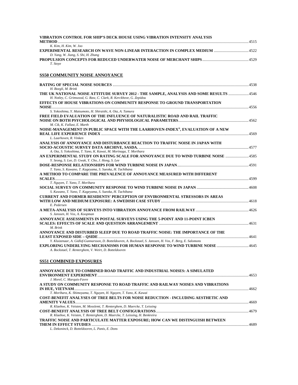| VIBRATION CONTROL FOR SHIP'S DECK HOUSE USING VIBRATION INTENSITY ANALYSIS<br>METHOD. | 4515 |
|---------------------------------------------------------------------------------------|------|
| K. Kim. H. Kim. W. Joo                                                                |      |
| EXPERIMENTAL RESEARCH ON WAVE NON-LINEAR INTERACTION IN COMPLEX MEDIUM                | 4522 |
| D. Yang, W. Jiang, S. Shi, H. Zhang                                                   |      |
|                                                                                       | 4529 |
| T. Stove                                                                              |      |

# **SS50 COMMUNITY NOISE ANNOYANCE**

| H. Boegli, M. Brink                                                                                                                                                                                            |       |
|----------------------------------------------------------------------------------------------------------------------------------------------------------------------------------------------------------------|-------|
| H. Notley, C. Grimwood, G. Raw, C. Clark, R. Kerckhove, G. Zepidou                                                                                                                                             |       |
| EFFECTS OF HOUSE VIBRATIONS ON COMMUNITY RESPONSE TO GROUND TRANSPORTATION                                                                                                                                     |       |
| S. Yokoshima, Y. Matsumoto, H. Shiraishi, A. Ota, A. Tamura<br>FREE FIELD EVALUATION OF THE INFLUENCE OF NATURALISTIC ROAD AND RAIL TRAFFIC                                                                    |       |
| M. Cik, K. Fallast, E. Marth                                                                                                                                                                                   | .4562 |
| NOISE-MANAGEMENT IN PUBLIC SPACE WITH THE LAARHOVEN-INDEX®, EVALUATION OF A NEW<br>L. Laarhoven, R. Vinken                                                                                                     | .4569 |
| ANALYSIS OF ANNOYANCE AND DISTURBANCE REACTION TO TRAFFIC NOISE IN JAPAN WITH                                                                                                                                  |       |
| A. Ota, S. Yokoshima, T. Yano, K. Kawai, M. Morinaga, T. Morihara<br>AN EXPERIMENTAL STUDY ON RATING SCALE FOR ANNOYANCE DUE TO WIND TURBINE NOISE  4585<br>Y. Seong, S. Lee, D. Gwak, Y. Cho, J. Hong, S. Lee |       |
| T. Yano, S. Kuwano, T. Kageyama, S. Sueoka, H. Tachibana                                                                                                                                                       |       |
| A METHOD TO COMPARE THE PREVALENCE OF ANNOYANCE MEASURED WITH DIFFERENT<br>T. Nguyen, T. Yano, T. Morihara                                                                                                     |       |
| S. Kuwano, T. Yano, T. Kageyama, S. Sueoka, H. Tachibana                                                                                                                                                       |       |
| <b>CURRENT AND FORMER RESIDENTS' PERCEPTION OF ENVIRONMENTAL STRESSORS IN AREAS</b><br>E. Pedersen                                                                                                             |       |
| S. Janssen, H. Vos, A. Koopman                                                                                                                                                                                 |       |
| ANNOYANCE ASSESSMENTS IN POSTAL SURVEYS USING THE 5-POINT AND 11-POINT ICBEN<br>M. Brink                                                                                                                       |       |
| ANNOYANCE AND DISTURBED SLEEP DUE TO ROAD TRAFFIC NOISE: THE IMPORTANCE OF THE<br>Y. Kluizenaar, A. Gidlof-Gunnarsson, D. Botteldooren, A. Bockstael, S. Janssen, H. Vos, F. Berg, E. Salomons                 | 4641  |
| A. Bockstael, T. Renterghem, V. Weirt, D. Botteldooren                                                                                                                                                         |       |

# **SS51 COMBINED EXPOSURES**

| ANNOYANCE DUE TO COMBINED ROAD TRAFFIC AND INDUSTRIAL NOISES: A SIMULATED         |      |
|-----------------------------------------------------------------------------------|------|
|                                                                                   |      |
| J. Morel, C. Marquis-Favre                                                        |      |
| A STUDY ON COMMUNITY RESPONSE TO ROAD TRAFFIC AND RAILWAY NOISES AND VIBRATIONS   |      |
|                                                                                   |      |
| T. Morihara, K. Shimoyama, T. Nguyen, H. Nguyen, T. Yano, K. Kawai                |      |
| COST-BENEFIT ANALYSES OF TREE BELTS FOR NOISE REDUCTION - INCLUDING AESTHETIC AND |      |
|                                                                                   | 4669 |
| R. Klaeboe, K. Veisten, M. Mosslemi, T. Renterghem, D. Maercke, T. Leissing       |      |
|                                                                                   |      |
| R. Klaeboe, K. Veisten, T. Renterghem, D. Maercke, T. Leissing, H. Benkreira      |      |
| TRAFFIC NOISE AND PARTICULATE MATTER EXPOSURE; HOW CAN WE DISTINGUISH BETWEEN     |      |
|                                                                                   |      |
| L. Dekoninck, D. Botteldooren, L. Panis, E. Dons                                  |      |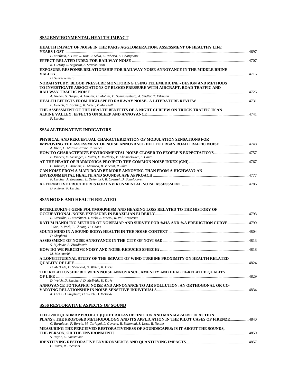#### **SS52 ENVIRONMENTAL HEALTH IMPACT**

| HEALTH IMPACT OF NOISE IN THE PARIS AGGLOMERATION: ASSESSMENT OF HEALTHY LIFE         |      |
|---------------------------------------------------------------------------------------|------|
|                                                                                       |      |
| F. Mietlicki, S. Host, R. Kim, R. Silva, C. Ribeiro, E. Chatignoux                    |      |
|                                                                                       |      |
| K. Giering, S. Augustin, S. Strunke-Banz                                              |      |
| <b>EXPOSURE-RESPONSE RELATIONSHIP FOR RAILWAY NOISE ANNOYANCE IN THE MIDDLE RHINE</b> |      |
|                                                                                       |      |
| D. Schreckenberg                                                                      |      |
| NORAH STUDY: BLOOD PRESSURE MONITORING USING TELEMEDICINE - DESIGN AND METHODS        |      |
| TO INVESTIGATE ASSOCIATIONS OF BLOOD PRESSURE WITH AIRCRAFT, ROAD TRAFFIC AND         |      |
|                                                                                       | 4726 |
| A. Nieden, S. Harpel, A. Lengler, U. Mohler, D. Schreckenberg, A. Seidler, T. Eikmann |      |
|                                                                                       |      |
| B. Fenech, C. Cobbing, R. Greer, T. Marshall                                          |      |
| THE ASSESSMENT OF THE HEALTH BENEFITS OF A NIGHT CURFEW ON TRUCK TRAFFIC IN AN        |      |
|                                                                                       |      |
| P. Lercher                                                                            |      |
|                                                                                       |      |
| <b>SS54 ALTERNATIVE INDICATORS</b>                                                    |      |
|                                                                                       |      |
|                                                                                       |      |

#### **PHYSICAL AND PERCEPTUAL CHARACTERIZATION OF MODULATION SENSATIONS FOR IMPROVING THE ASSESSMENT OF NOISE ANNOYANCE DUE TO URBAN ROAD TRAFFIC NOISE**..............................4748 *A. Klein, C. Marquis-Favre, R. Weber*  **HOW TO CHARACTERIZE ENVIRONMENTAL NOISE CLOSER TO PEOPLE'S EXPECTATIONS**....................................4757 *B. Vincent, V. Gissinger, J. Vallet, F. Mietlicky, P. Champelovier, S. Carra*  **AT THE HEART OF HARMONICA PROJECT: THE COMMON NOISE INDEX (CNI)**..............................................................4767 *C. Ribeiro, C. Anselme, F. Mietlicki, B. Vincent, R. Silva*  **CAN NOISE FROM A MAIN ROAD BE MORE ANNOYING THAN FROM A HIGHWAY? AN ENVIRONMENTAL HEALTH AND SOUNDSCAPE APPROACH** ...................................................................................................4777 *P. Lercher, A. Bockstael, L. Dekoninck, B. Coensel, D. Botteldooren*  **ALTERNATIVE PROCEDURES FOR ENVIRONMENTAL NOISE ASSESSMENT** .....................................................................4786 *D. Kuhner, P. Lercher*

#### **SS55 NOISE AND HEALTH RELATED**

| INTERLEUKIN-6 GENE POLYMORPHISM AND HEARING LOSS RELATED TO THE HISTORY OF        |  |
|-----------------------------------------------------------------------------------|--|
| L. Carvalho, L. Marchiori, J. Melo, S. Maciel, R. Poli-Frederico                  |  |
| DATUM HANDLING METHOD OF NOISEMAP AND SURVEY FOR %HA AND %A PREDICTION CURVE 4799 |  |
| J. Son, Y. Park, T. Choung, H. Choen                                              |  |
|                                                                                   |  |
| D. Shepherd                                                                       |  |
|                                                                                   |  |
| S. Bijelovic, E. Zivadinovic                                                      |  |
|                                                                                   |  |
| M. Mizumachi                                                                      |  |
| A LONGTITUDINAL STUDY OF THE IMPACT OF WIND TURBINE PROXIMITY ON HEALTH RELATED   |  |
|                                                                                   |  |
| D. McBride, D. Shepherd, D. Welch, K. Dirks                                       |  |
| THE RELATIONSHIP BETWEEN NOISE ANNOYANCE, AMENITY AND HEALTH-RELATED QUALITY      |  |
|                                                                                   |  |
| D. Welch, D. Shepherd, D. McBride, K. Dirks                                       |  |
| ANNOYANCE TO TRAFFIC NOISE AND ANNOYANCE TO AIR POLLUTION: AN ORTHOGONAL OR CO-   |  |
|                                                                                   |  |
| K. Dirks, D. Shepherd, D. Welch, D. McBride                                       |  |

#### **SS56 RESTORATIVE ASPECTS OF SOUND**

| LIFE+2010 OUADMAP PROJECT (OUIET AREAS DEFINITION AND MANAGEMENT IN ACTION             |      |
|----------------------------------------------------------------------------------------|------|
| PLANS): THE PROPOSED METHODOLOGY AND ITS APPLICATION IN THE PILOT CASES OF FIRENZE4840 |      |
| C. Bartalucci, F. Borchi, M. Carfagni, L. Governi, R. Bellomini, S. Luzzi, R. Natale   |      |
| MEASURING THE PERCEIVED RESTORATIVENESS OF SOUNDSCAPES: IS IT ABOUT THE SOUNDS,        |      |
|                                                                                        | 4850 |
| S. Payne, C. Guastavino                                                                |      |
|                                                                                        |      |
| G. Watts, R. Pheasant                                                                  |      |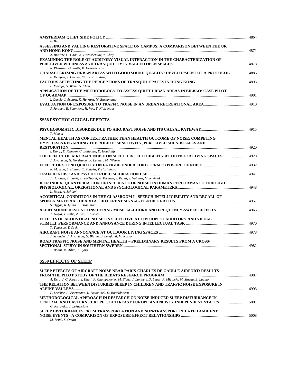| F. Berg<br>ASSESSING AND VALUING RESTORATIVE SPACE ON CAMPUS: A COMPARISON BETWEEN THE UK                                      |  |
|--------------------------------------------------------------------------------------------------------------------------------|--|
|                                                                                                                                |  |
| A. Bristow, C. Chau, K. Horoshenkov, Y. Chov                                                                                   |  |
| EXAMINING THE ROLE OF AUDITORY-VISUAL INTERACTION IN THE CHARACTERIZATION OF                                                   |  |
|                                                                                                                                |  |
| R. Pheasant, G. Watts, K. Horoshenkov                                                                                          |  |
| CHARACTERIZING URBAN AREAS WITH GOOD SOUND QUALITY: DEVELOPMENT OF A PROTOCOL 4886<br>E. Kempen, J. Devilee, W. Swart, I. Kamp |  |
| L. Marafa, G. Watts, S. Chan                                                                                                   |  |
| APPLICATION OF THE METHODOLOGY TO ASSESS QUIET URBAN AREAS IN BILBAO: CASE PILOT                                               |  |
|                                                                                                                                |  |
| I. Garcia, I. Aspuru, K. Herranz, M. Bustamante                                                                                |  |
|                                                                                                                                |  |
| S. Janssen, E. Salomons, H. Vos, Y. Kluizenaar                                                                                 |  |
| <b>SS58 PSYCHOLOGICAL EFFECTS</b>                                                                                              |  |
|                                                                                                                                |  |
| T. Matsui                                                                                                                      |  |
| MENTAL HEALTH AS CONTEXT RATHER THAN HEALTH OUTCOME OF NOISE: COMPETING                                                        |  |
| HYPTHESES REGARDING THE ROLE OF SENSITIVITY, PERCEIVED SOUNDSCAPES AND                                                         |  |
|                                                                                                                                |  |
| I. Kamp, E. Kempen, C. Baliatsas, D. Houthuijs                                                                                 |  |
|                                                                                                                                |  |
| J. Alvarsson, H. Nordstrom, P. Lunden, M. Nilsson                                                                              |  |
|                                                                                                                                |  |
| K. Masuda, S. Hatano, T. Tanaka, T. Hashimoto                                                                                  |  |
|                                                                                                                                |  |
| J. Halonen, T. Lanki, T. Yli-Tuomi, A. Turunen, J. Pentti, J. Vahtera, M. Kivimaki                                             |  |
| IPER INDEX: OUANTIFICATION OF INFLUENCE OF NOISE ON HUMAN PERFORMANCE THROUGH                                                  |  |
|                                                                                                                                |  |
| L. Rossi, A. Schiavi                                                                                                           |  |
| ACOUSTICAL CONDITIONS IN THE CLASSROOM I - SPEECH INTELLIGIBILITY AND RECALL OF                                                |  |
|                                                                                                                                |  |
| S. Hygge, R. Ljung, K. Israelsson                                                                                              |  |
| Y. Iwaya, T. Anbe, Z. Cui, Y. Suzuki                                                                                           |  |
| EFFECTS OF ACOUSTICAL NOISE ON SELECTIVE ATTENTION TO AUDITORY AND VISUAL                                                      |  |
|                                                                                                                                |  |
| T. Tamesue, T. Saeki                                                                                                           |  |
|                                                                                                                                |  |
| J. Selander, J. Alvarsson, G. Bluhm, B. Berglund, M. Nilsson                                                                   |  |
| ROAD TRAFFIC NOISE AND MENTAL HEALTH – PRELIMINARY RESULTS FROM A CROSS-                                                       |  |
|                                                                                                                                |  |
| T. Bodin, M. Albin, J. Bjork                                                                                                   |  |
|                                                                                                                                |  |

# **SS59 EFFECTS OF SLEEP**

| SLEEP EFFECTS OF AIRCRAFT NOISE NEAR PARIS-CHARLES DE GAULLE AIRPORT: RESULTS                                        |  |
|----------------------------------------------------------------------------------------------------------------------|--|
|                                                                                                                      |  |
| A. Evrard, C. Ribeiro, I. Khati, P. Champelovier, M. Elbaz, J. Lambert, D. Leger, F. Mietlicki, M. Sineau, B. Laumon |  |
| THE RELATION BETWEEN DISTURBED SLEEP IN CHILDREN AND TRAFFIC NOISE EXPOSURE IN                                       |  |
|                                                                                                                      |  |
| P. Lercher, A. Eisenmann, L. Dekoninck, D. Botteldooren                                                              |  |
| METHODOLOGICAL APPROACH IN RESEARCH ON NOISE INDUCED SLEEP DISTURBANCE IN                                            |  |
| CENTRAL AND EASTERN EUROPE, SOUTH-EAST EUROPE AND NEWLY INDEPENDENT STATES 5001                                      |  |
| G. Ristovska, J. Lekaviciute                                                                                         |  |
| SLEEP DISTURBANCES FROM TRANSPORTATION AND NON-TRANSPORT RELATED AMBIENT                                             |  |
|                                                                                                                      |  |
| M. Brink. S. Omlin                                                                                                   |  |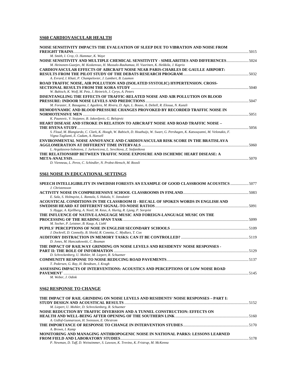# **SS60 CARDIOVASCULAR HEALTH**

| NOISE SENSITIVITY IMPACTS THE EVALUATION OF SLEEP DUE TO VIBRATION AND NOISE FROM                                               |      |
|---------------------------------------------------------------------------------------------------------------------------------|------|
|                                                                                                                                 | 5015 |
| M. Smith, I. Croy, O. Hammar, K. Waye                                                                                           |      |
| NOISE SENSITIVITY AND MULTIPLE CHEMICAL SENSITIVITY - SIMILARITIES AND DIFFERENCES 5024                                         |      |
| M. Heinonen-Guzejev, M. Koskenvuo, H. Mussalo-Rauhamaa, H. Vuorinen, K. Heikkila, J. Kaprio                                     |      |
| <b>CARDIOVASCULAR EFFECTS OF AIRCRAFT NOISE NEAR PARIS-CHARLES DE GAULLE AIRPORT:</b>                                           |      |
|                                                                                                                                 |      |
| A. Evrard, I. Khati, P. Champelovier, J. Lambert, B. Laumon                                                                     |      |
| ROAD TRAFFIC NOISE, AIR POLLUTION AND (ISOLATED SYSTOLIC) HYPERTENSION. CROSS-                                                  |      |
|                                                                                                                                 | 5040 |
| W. Babisch, K. Wolf, M. Petz, J. Heinrich, J. Cyrys, A. Peters                                                                  |      |
| DISENTANGLING THE EFFECTS OF TRAFFIC-RELATED NOISE AND AIR POLLUTION ON BLOOD                                                   |      |
|                                                                                                                                 |      |
| M. Foraster, X. Basagana, I. Aguilera, M. Rivera, D. Agis, L. Bouso, A. Deltell, R. Elosua, N. Kunzli                           |      |
| HEMODYNAMIC AND BLOOD PRESSURE CHANGES PROVOKED BY RECORDED TRAFFIC NOISE IN                                                    |      |
|                                                                                                                                 |      |
| K. Paunovic, V. Stojanov, B. Jakovljevic, G. Belojevic                                                                          |      |
| HEART DISEASE AND STROKE IN RELATION TO AIRCRAFT NOISE AND ROAD TRAFFIC NOISE –                                                 |      |
|                                                                                                                                 |      |
| S. Floud, M. Blangiardo, C. Clark, K. Hoogh, W. Babisch, D. Houthuijs, W. Swart, G. Pershagen, K. Katsouyanni, M. Velonakis, F. |      |
| Vigna-Taglianti, E. Cadum, A. Hansell                                                                                           |      |
| ENVIRONMENTAL NOISE ANNOYANCE AND CARDIOVASCULAR RISK SCORE IN THE BRATISLAVA                                                   |      |
|                                                                                                                                 |      |
| L. Argalasova-Sobotova, J. Jurkovicova, L. Sevcikova, Z. Stefanikova                                                            |      |
| THE RELATIONSHIP BETWEEN TRAFFIC NOISE EXPOSURE AND ISCHEMIC HEART DISEASE: A                                                   |      |
|                                                                                                                                 | 5070 |
| D. Vienneau, L. Perez, C. Schindler, N. Probst-Hensch, M. Roosli                                                                |      |
|                                                                                                                                 |      |
| <b>SS61 NOISE IN EDUCATIONAL SETTINGS</b>                                                                                       |      |
|                                                                                                                                 |      |
| SPEECH INTELLICIRILITY IN SWEDISH FORESTS AN EXAMPLE OF COOD CLASSROOM ACOUSTICS                                                | 5077 |

| ////SPEECH INTELLIGIBILITY IN SWEDISH FORESTS AN EXAMPLE OF GOOD CLASSROOM ACOUSTICS |  |
|--------------------------------------------------------------------------------------|--|
| J. Christensson                                                                      |  |
|                                                                                      |  |
| E. Sala, S. Holmqvist, L. Rantala, S. Hakala, V. Jonsdottir                          |  |
| ACOUSTICAL CONDITIONS IN THE CLASSROOM II - RECALL OF SPOKEN WORDS IN ENGLISH AND    |  |
|                                                                                      |  |
| S. Hygge, A. Kjellberg, A. Nostl, M. Keus, A. Hurtig, R. Ljung, P. Sorqvist          |  |
| THE INFLUENCE OF NATIVE-LANGUAGE MUSIC AND FOREIGN-LANGUAGE MUSIC ON THE             |  |
|                                                                                      |  |
| M. Socher, P. Leistner, B. Kaup, A. Liebl                                            |  |
|                                                                                      |  |
| J. Dockrell, D. Connolly, B. Shield, R. Conetta, C. Mydlarz, T. Cox                  |  |
|                                                                                      |  |
| D. Jones, M. Hanczakowski, C. Beaman                                                 |  |
| THE IMPACT OF RAILWAY GRINDING ON NOISE LEVELS AND RESIDENTS' NOISE RESPONSES -      |  |
|                                                                                      |  |
| D. Schreckenberg, U. Mohler, M. Liepert, R. Schuemer                                 |  |
|                                                                                      |  |
| T. Pedersen, G. Ray, H. Bendtsen, J. Kragh                                           |  |
| ASSESSING IMPACTS OF INTERVENTIONS: ACOUSTICS AND PERCEPTIONS OF LOW NOISE ROAD      |  |
|                                                                                      |  |
|                                                                                      |  |

*M. Weber, J. Odink* 

#### **SS62 RESPONSE TO CHANGE**

| THE IMPACT OF RAIL GRINDING ON NOISE LEVELS AND RESIDENTS' NOISE RESPONSES - PART I: |  |
|--------------------------------------------------------------------------------------|--|
|                                                                                      |  |
| M. Liepert, U. Mohler, D. Schreckenberg, R. Schuemer                                 |  |
| NOISE REDUCTION BY TRAFFIC DIVERSION AND A TUNNEL CONSTRUCTION: EFFECTS ON           |  |
|                                                                                      |  |
| A. Gidlof-Gunnarsson, H. Svensson, E. Ohrstrom                                       |  |
|                                                                                      |  |
| A. Brown, I. Kamp                                                                    |  |
| MONITORING AND MANAGING ANTHROPOGENIC NOISE IN NATIONAL PARKS: LESSONS LEARNED       |  |
|                                                                                      |  |
| P. Newman, D. Taff, D. Weinzimmer, S. Lawson, K. Trevino, K. Fristrup, M. McKenna    |  |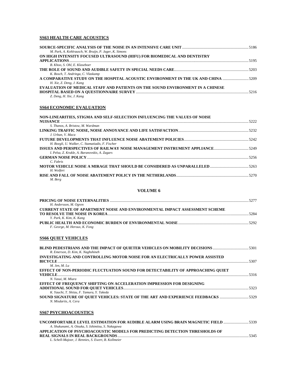# **SS63 HEALTH CARE ACOUSTICS**

| M. Park, A. Kohlrausch, W. Bruijn, P. Jager, K. Simons                            |  |
|-----------------------------------------------------------------------------------|--|
| ON HIGH INTENSITY FOCUSED ULTRASOUND (HIFU) FOR BIOMEDICAL AND DENTISTRY          |  |
|                                                                                   |  |
| B. Khoo, S. Ohl, E. Klaseboer                                                     |  |
|                                                                                   |  |
| K. Bosch, T. Andringa, C. Vlaskamp                                                |  |
| A COMPARATIVE STUDY ON THE HOSPITAL ACOUSTIC ENVIRONMENT IN THE UK AND CHINA 5209 |  |
| H. Xie, Z. Deng, J. Kang                                                          |  |
| EVALUATION OF MEDICAL STAFF AND PATIENTS ON THE SOUND ENVIRONMENT IN A CHINESE    |  |
|                                                                                   |  |
| Z. Deng, H. Xie, J. Kang                                                          |  |
|                                                                                   |  |

# **SS64 ECONOMIC EVALUATION**

| NON-LINEARITIES, STIGMA AND SELF-SELECTION INFLUENCING THE VALUES OF NOISE |        |
|----------------------------------------------------------------------------|--------|
|                                                                            |        |
| S. Thanos, A. Bristow, M. Wardman                                          |        |
|                                                                            |        |
| J. Urban. V. Maca                                                          |        |
|                                                                            |        |
| H. Boegli, U. Walker, C. Stamatiadis, F. Fischer                           |        |
|                                                                            |        |
| I. Pelsa, Z. Krukle, A. Baranovskis, A. Zagars                             |        |
|                                                                            | -5256- |
| C. Fabris                                                                  |        |
|                                                                            |        |
| H. Wolfert                                                                 |        |
|                                                                            |        |
| M. Berg                                                                    |        |

#### **VOLUME 6**

|                                                                                    | 5277 |
|------------------------------------------------------------------------------------|------|
| H. Andersson, M. Ogren                                                             |      |
| <b>CURRENT STATE OF APARTMENT NOISE AND ENVIRONMENTAL IMPACT ASSESSMENT SCHEME</b> |      |
|                                                                                    | 5284 |
| Y. Park, K. Kim, K. Kang                                                           |      |
|                                                                                    | 5292 |
| F. George, M. Heroux, K. Fong                                                      |      |

# **SS66 QUIET VEHICLES**

| <b>BLIND PEDESTRIANS AND THE IMPACT OF OUIETER VEHICLES ON MOBILITY DECISIONS </b> 5301 |       |
|-----------------------------------------------------------------------------------------|-------|
| R. Emerson, D. Kim, K. Naghshineh                                                       |       |
| INVESTIGATING AND CONTROLLING MOTOR NOISE FOR AN ELECTRICALLY POWER ASSISTED            |       |
| <b>BICYCLE</b>                                                                          |       |
| M. Jen. M. Lu                                                                           |       |
| EFFECT OF NON-PERIODIC FLUCTUATION SOUND FOR DETECTABILITY OF APPROACHING OUIET         |       |
| <b>VEHICLE</b>                                                                          | -5316 |
| N. Yasui, M. Miura                                                                      |       |
| <b>EFFECT OF FREQUENCY SHIFTING ON ACCELERATION IMPRESSION FOR DESIGNING</b>            |       |
|                                                                                         |       |
| K. Yauchi, T. Shiizu, F. Tamura, Y. Takeda                                              |       |
| SOUND SIGNATURE OF OUIET VEHICLES: STATE OF THE ART AND EXPERIENCE FEEDBACKS 5329       |       |
| N. Misdariis, A. Cera                                                                   |       |
| <b>SS67 PSYCHOACOUSTICS</b>                                                             |       |
| UNCOMFORTABLE LEVEL ESTIMATION FOR AUDIBLE ALARM USING BRAIN MAGNETIC FIELD 5339        |       |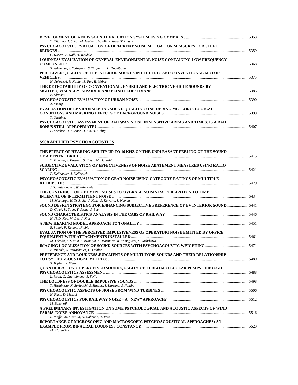| T. Kitajima, T. Sakai, M. Iwahara, G. Minorikawa, T. Ohtsuka                         |  |
|--------------------------------------------------------------------------------------|--|
| PSYCHOACOUSTIC EVALUATION OF DIFFERENT NOISE MITIGATION MEASURES FOR STEEL           |  |
| C. Kasess, A. Noll, H. Waubke                                                        |  |
| LOUDNESS EVALUATION OF GENERAL ENVIRONMENTAL NOISE CONTAINING LOW FREQUENCY          |  |
|                                                                                      |  |
| S. Sakamoto, S. Yokoyama, S. Tsujimura, H. Tachibana                                 |  |
| PERCEIVED QUALITY OF THE INTERIOR SOUNDS IN ELECTRIC AND CONVENTIONAL MOTOR          |  |
|                                                                                      |  |
| H. Sukowski, R. Kuhler, S. Par, R. Weber                                             |  |
| THE DETECTABILITY OF CONVENTIONAL, HYBRID AND ELECTRIC VEHICLE SOUNDS BY             |  |
|                                                                                      |  |
| E. Altinsoy                                                                          |  |
|                                                                                      |  |
| A. Fiebig                                                                            |  |
| EVALUATION OF ENVIRONMENTAL SOUND QUALITY CONSIDERING METEORO- LOGICAL               |  |
| T. Ohshima                                                                           |  |
| PSYCHOACOUSTIC ASSESSMENT OF RAILWAY NOISE IN SENSITIVE AREAS AND TIMES: IS A RAIL   |  |
|                                                                                      |  |
| P. Lercher, D. Kuhner, H. Lin, A. Fiebig                                             |  |
|                                                                                      |  |
| <b>SS68 APPLIED PSYCHOACOUSTICS</b>                                                  |  |
|                                                                                      |  |
| THE EFFECT OF HEARING ABILITY UP TO 16 KHZ ON THE UNPLEASANT FEELING OF THE SOUND    |  |
|                                                                                      |  |
| T. Yamada, S. Kuwano, S. Ebisu, M. Hayashi                                           |  |
| SUBJECTIVE EVALUATION OF EFFECTIVENESS OF NOISE ABATEMENT MEASURES USING RATIO       |  |
|                                                                                      |  |
| P. Keilhacker, J. Hellbruck                                                          |  |
| PSYCHOACOUSTIC EVALUATION OF GEAR NOISE USING CATEGORY RATINGS OF MULTIPLE           |  |
|                                                                                      |  |
| J. Schlittenlacher, W. Ellermeier                                                    |  |
| THE CONTRIBUTION OF EVENT NOISES TO OVERALL NOISINESS IN RELATION TO TIME            |  |
|                                                                                      |  |
| M. Morinaga, H. Tsukioka, J. Kaku, S. Kuwano, S. Namba                               |  |
| 5441. SOUND DESIGN STRATEGY FOR ENHANCING SUBJECTIVE PREFERENCE OF EV INTERIOR SOUND |  |
| D. Gwak, K. Yoon, Y. Seong, S. Lee                                                   |  |
| H. Ji, D. Koo, W. Lee, J. Kim                                                        |  |
|                                                                                      |  |
| R. Sottek, F. Kamp, A.Fiebig                                                         |  |
| EVALUATION OF THE PERCEIVED IMPULSIVENESS OF OPERATING NOISE EMITTED BY OFFICE       |  |
|                                                                                      |  |
| M. Takada, S. Suzuki, S. Iwamiya, K. Matsuura, M. Yamaguchi, S. Yoshikawa            |  |
|                                                                                      |  |
| B. Riebold, S. Neugebauer, D. Dobler                                                 |  |
| PREFERENCE AND LOUDNESS JUDGMENTS OF MULTI-TONE SOUNDS AND THEIR RELATIONSHIP        |  |
|                                                                                      |  |
| S. Topken, R. Weber                                                                  |  |
| QUANTIFICATION OF PERCEIVED SOUND QUALITY OF TURBO MOLECULAR PUMPS THROUGH           |  |
| L. Rossi, C. Guglielmone, A. Follo                                                   |  |
|                                                                                      |  |
| T. Hashimoto, K. Sekiguchi, S. Hatano, S. Kuwano, S. Namba                           |  |
|                                                                                      |  |
| H. Fastl. D. Menzel                                                                  |  |
|                                                                                      |  |
| M. Bukovnik                                                                          |  |
| A PRELIMINARY INVESTIGATION ON SOME PSYCHOLOGICAL AND ACOUSTIC ASPECTS OF WIND       |  |
|                                                                                      |  |
| L. Maffei, M. Masullo, D. Gabriele, N. Votsi                                         |  |
| IMPORTANCE OF MICROSCOPIC AND MACROSCOPIC PSYCHOACOUSTICAL APPROACHES: AN            |  |
|                                                                                      |  |
| M. Florentine                                                                        |  |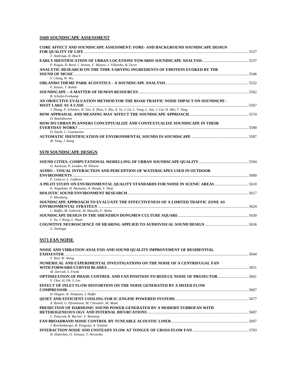# **SS69 SOUNDSCAPE ASSESSMENT**

| CORE AFFECT AND SOUNDSCAPE ASSESSMENT: FORE- AND BACKGROUND SOUNDSCAPE DESIGN                                |  |
|--------------------------------------------------------------------------------------------------------------|--|
| T. Andringa, K. Bosch                                                                                        |  |
|                                                                                                              |  |
| P. Kogan, D. Bard, J. Arenas, F. Miyara, J. Villalobo, B. Turra                                              |  |
| ANALYTIC RESEARCH ON THE TIME-VARYING INGREDIENTS OF EMOTION EVOKED BY THE                                   |  |
| S. Cheng, W. Wu<br>ORLANDO THEME PARK ACOUSTICS – A SOUNDSCAPE ANALYSIS ……………………………………………………………………………………5552 |  |
| F. Kaiser, T. Rohde                                                                                          |  |
|                                                                                                              |  |
| <b>B.</b> Schulte-Fortkamp                                                                                   |  |
| AN OBJECTIVE EVALUATION METHOD FOR THE ROAD TRAFFIC NOISE IMPACT ON SOUNDSCPE -                              |  |
| J. Zhang, P. Schomer, H. Yan, X. Zhou, S. Zhu, X. Ye, J. Ge, L. Yang, L. Sun, J. Cai, H. Min, T. Tang        |  |
|                                                                                                              |  |
| D. Botteldooren                                                                                              |  |
| HOW DO URBAN PLANNERS CONCEPTUALIZE AND CONTEXTUALIZE SOUNDSCAPE IN THEIR                                    |  |
|                                                                                                              |  |
| D. Steele, C. Guastavino                                                                                     |  |
| M. Yang, J. Kang                                                                                             |  |
| <u>SS70 SOUNDSCAPE D</u> ESIGN                                                                               |  |
|                                                                                                              |  |
| O. Axelsson, P. Lunden, M. Nilsson                                                                           |  |
| AUDIO – VISUAL INTERACTION AND PERCEPTION OF WATERSCAPES USED IN OUTDOOR                                     |  |
|                                                                                                              |  |
| F. Calarco, L. Galbrun<br>A PILOT STUDY ON ENVIRONMENTAL QUALITY STANDARDS FOR NOISE IN SCENIC AREAS 5610    |  |
| K. Nagahata, H. Akanuma, A. Handa, Y. Shoji                                                                  |  |
|                                                                                                              |  |
| F. Mossberg                                                                                                  |  |
| SOUNDSCAPE APPROACH TO EVALUATE THE EFFECTIVENESS OF A LIMITED TRAFFIC ZONE AS                               |  |
|                                                                                                              |  |
| L. Maffei, M. Gabriele, M. Masullo, F. Aletta                                                                |  |
| L. Yu, J. Kang, L. Huan                                                                                      |  |
|                                                                                                              |  |
| G. Santiago                                                                                                  |  |
| <b>SS71 FAN NOISE</b>                                                                                        |  |
| NOISE AND VIBRATION ANALYSIS AND SOUND OUALITY IMPROVEMENT OF RESIDENTIAL                                    |  |
|                                                                                                              |  |
| Y. Wen, W. Wang                                                                                              |  |
| NUMERICAL AND EXPERIMENTAL INVESTIGATIONS ON THE NOISE OF A CENTRIFUGAL FAN                                  |  |
| M. Darvish, S. Frank                                                                                         |  |
| OPTIMIZATION OF PHASE CONTROL AND FAN POSITION TO REDUCE NOISE OF PROJECTOR5661                              |  |
| Y. Choi, H. Oh, S. Lee                                                                                       |  |
| EFFECT OF INLET FLOW DISTORTION ON THE NOISE GENERATED BY A MIXED FLOW                                       |  |
|                                                                                                              |  |
| H. Hopper, R. Stimpson, J. Heffer                                                                            |  |
| A. Rynell, G. Efraimsson, M. Chevalier, M. Abom                                                              |  |
| PREDICTION OF HARMONIC SOUND POWER GENERATED BY A MODERN TURBOFAN WITH                                       |  |
| HETEROGENEOUS OGV AND INTERNAL BIFURCATIONS ……………………………………………………………………………………………5687                          |  |

*C. Polacsek, R. Barrier, V. Bonneau*  **FAN BROADBAND NOISE CONTROL BY TUNEABLE ACOUSTIC LINER** ................................................................................5697 *J. Reichenberger, R. Pongratz, A. Schober*  **INTERACTION NOISE AND UNSTEADY FLOW AT TONGUE OF CROSS-FLOW FAN** ..........................................................5703 *H. Hidechito, O. Tetsuya, T. Hironobu*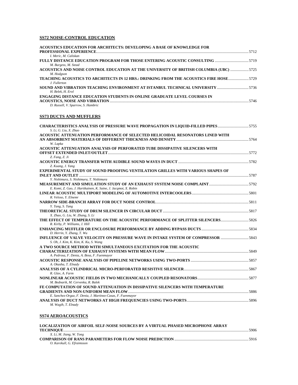# **SS72 NOISE-CONTROL EDUCATION**

| ACOUSTICS EDUCATION FOR ARCHITECTS: DEVELOPING A BASE OF KNOWLEDGE FOR                                                | 5712 |
|-----------------------------------------------------------------------------------------------------------------------|------|
| I. Meric. M. Caliskan                                                                                                 |      |
| M. Burgess, M. Stead                                                                                                  |      |
| ACOUSTICS AND NOISE CONTROL EDUCATION AT THE UNIVERSITY OF BRITISH COLUMBIA (UBC) 5725<br>M. Hodgson                  |      |
| TEACHING ACOUSTICS TO ARCHITECTS IN 12 HRS.: DRINKING FROM THE ACOUSTICS FIRE HOSE5729<br>J. Fullerton                |      |
| SOUND AND VIBRATION TEACHING ENVIRONMENT AT ISTANBUL TECHNICAL UNIVERSITY 5736<br>H. Belek. H. Erol                   |      |
| <b>ENGAGING DISTANCE EDUCATION STUDENTS IN ONLINE GRADUATE LEVEL COURSES IN</b><br>D. Russell, V. Sparrow, S. Hambric | 5746 |

# **SS73 DUCTS AND MUFFLERS**

| <b>CHARACTERISTICS ANALYSIS OF PRESSURE WAVE PROPAGATION IN LIQUID-FILLED PIPES </b> 5755<br>S. Li. G. Liu. X. Zhao |  |
|---------------------------------------------------------------------------------------------------------------------|--|
| ACOUSTIC ATTENUATION PERFORMANCE OF SELECTED HELICOIDAL RESONATORS LINED WITH                                       |  |
|                                                                                                                     |  |
| W. Lapka                                                                                                            |  |
| ACOUSTIC ATTENUATION ANALYSIS OF PERFORATED TUBE DISSIPATIVE SILENCERS WITH                                         |  |
|                                                                                                                     |  |
| Z. Fang, Z. Ji                                                                                                      |  |
|                                                                                                                     |  |
| Z. Kuang, J. Yang                                                                                                   |  |
| <b>EXPERIMENTAL STUDY OF SOUND PROOFING VENTILATION GRILLES WITH VARIOUS SHAPES OF</b>                              |  |
|                                                                                                                     |  |
| Y. Nishimura, S. Nishimura, T. Nishimura                                                                            |  |
|                                                                                                                     |  |
| E. Komi, Z. Gao, J. Hartikainen, K. Saine, J. Jacqmot, X. Robin                                                     |  |
|                                                                                                                     |  |
| R. Veloso, Y. Elnemr                                                                                                |  |
|                                                                                                                     |  |
| Y. Tang, S. Tang                                                                                                    |  |
|                                                                                                                     |  |
| X. Zhao, G. Liu, W. Zhang, S. Li                                                                                    |  |
| <b>THE EFFECT OF TEMPERATURE ON THE ACOUSTIC PERFORMANCE OF SPLITTER SILENCERS</b> 5826                             |  |
| R. Kirby, P. Williams, J. Hill                                                                                      |  |
|                                                                                                                     |  |
| D. Herrin, Y. Zhang, T. Wu                                                                                          |  |
| INFLUENCE OF VALVE VELOCITY ON PRESSURE WAVE IN INTAKE SYSTEM OF COMPRESSOR 5843                                    |  |
| S. Oh, J. Kim, K. Kim, K. Ku, S. Wang                                                                               |  |
| A TWO SOURCE METHOD WITH SIMULTANEOUS EXCITATION FOR THE ACOUSTIC                                                   |  |
|                                                                                                                     |  |
| A. Pedrosa, F. Denia, A. Besa, F. Fuenmayor                                                                         |  |
|                                                                                                                     |  |
| A. Okasha, T. Elnady                                                                                                |  |
|                                                                                                                     |  |
| R. Glav, A. Farm                                                                                                    |  |
|                                                                                                                     |  |
| M. Bednarik, M. Cervenka, R. Balek                                                                                  |  |
| FE COMPUTATION OF SOUND ATTENUATION IN DISSIPATIVE SILENCERS WITH TEMPERATURE                                       |  |
|                                                                                                                     |  |
| E. Sanchez-Orgaz, F. Denia, J. Martinez-Casas, F. Fuenmayor                                                         |  |
| M. Wagih, T. Elnady                                                                                                 |  |

# **SS74 AEROACOUSTICS**

| <b>LOCALIZATION OF AIRFOIL SELF-NOISE SOURCES BY A VIRTUAL PHASED MICROPHONE ARRAY</b> |  |
|----------------------------------------------------------------------------------------|--|
|                                                                                        |  |
| X. Li, M. Jiang, W. Tong                                                               |  |
|                                                                                        |  |
| O. Karekull, G. Efraimsson                                                             |  |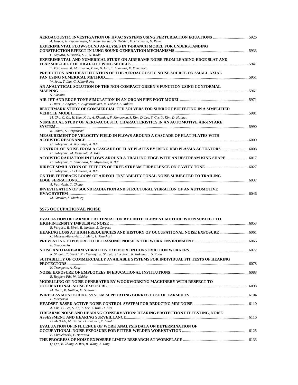| A. Huppe, A. Reppenhagen, M. Kaltenbacher, G. Dutzler, M. Hartmann, N. Peller                    |  |
|--------------------------------------------------------------------------------------------------|--|
| <b>EXPERIMENTAL FLOW-SOUND ANALYSES IN T-BRANCH MODEL FOR UNDERSTANDING</b>                      |  |
|                                                                                                  |  |
| G. Saputra, K. Nozaki, S. II, S. Wada                                                            |  |
| <b>EXPERIMENTAL AND NUMERICAL STUDY ON AIRFRAME NOISE FROM LEADING-EDGE SLAT AND</b>             |  |
|                                                                                                  |  |
| Y. Yokokawa, M. Murayama, Y. Ito, H. Ura, T. Imamura, K. Yamamoto                                |  |
| PREDICTION AND IDENTIFICATION OF THE AEROACOUSTIC NOISE SOURCE ON SMALL AXIAL                    |  |
|                                                                                                  |  |
| W. Jeon, T. Lim, G. Minorikawa                                                                   |  |
| AN ANALYTICAL SOLUTION OF THE NON-COMPACT GREEN'S FUNCTION USING CONFORMAL                       |  |
|                                                                                                  |  |
| S. Akishita                                                                                      |  |
|                                                                                                  |  |
| P. Rucz, J. Angster, F. Augusztinovicz, M. Lohasz, A. Miklos                                     |  |
| BENCHMARK STUDY OF COMMERCIAL CFD SOLVERS FOR SUNROOF BUFFETING IN A SIMPLIFIED                  |  |
|                                                                                                  |  |
| M. Cho, C. Oh, H. Kim, K. Ih, A. Khondge, F. Mendonca, J. Kim, D. Lee, S. Cyr, Y. Kim, D. Holman |  |
| NUMERICAL STUDY OF AERO-ACOUSTIC CHARACTERISTICS IN AN AUTOMOTIVE AIR-INTAKE                     |  |
|                                                                                                  |  |
| K. Jahani, S. Beigmoradi                                                                         |  |
| MEASUREMENT OF VELOCITY FIELD IN FLOWS AROUND A CASCADE OF FLAT PLATES WITH                      |  |
|                                                                                                  |  |
| H. Yokoyama, K. Kiyamiya, A. IIda                                                                |  |
| <b>CONTROL OF NOISE FROM A CASCADE OF FLAT PLATES BY USING DBD PLASMA ACTUATORS </b> 6008        |  |
| H. Yokoyama, M. Kusumoto, A. IIda                                                                |  |
| ACOUSTIC RADIATION IN FLOWS AROUND A TRAILING EDGE WITH AN UPSTREAM KINK SHAPE                   |  |
| H. Yokoyama, T. Shinohara, M. Miyazawa, A. IIda                                                  |  |
|                                                                                                  |  |
| H. Yokoyama, H. Odawara, A. IIda                                                                 |  |
| ON THE FEEDBACK LOOPS OF AIRFOIL INSTABILITY TONAL NOISE SUBJECTED TO TRAILING                   |  |
|                                                                                                  |  |
| A. Vathylakis, T. Chong                                                                          |  |
| <b>INVESTIGATION OF SOUND RADIATION AND STRUCTURAL VIBRATION OF AN AUTOMOTIVE</b>                |  |
|                                                                                                  |  |

*M. Guettler, S. Marburg* 

# **SS75 OCCUPATIONAL NOISE**

| <b>EVALUATION OF EARMUFF ATTENUATION BY FINITE ELEMENT METHOD WHEN SUBJECT TO</b>                                                |  |
|----------------------------------------------------------------------------------------------------------------------------------|--|
| E. Vergara, R. Birch, R. Junckes, S. Gergers                                                                                     |  |
| HEARING LOSS AT HIGH FREQUENCIES AND HISTORY OF OCCUPATIONAL NOISE EXPOSURE  6061<br>C. Meneses-Barriviera, J. Melo, L. Marchori |  |
|                                                                                                                                  |  |
| <b>B.</b> Smagowska                                                                                                              |  |
|                                                                                                                                  |  |
| N. Shibata, T. Sasaki, N. Hisanaga, E. Shibata, H. Kubota, K. Nakamura, S. Koda                                                  |  |
| SUITABILITY OF COMMERCIALLY AVAILABLE SYSTEMS FOR INDIVIDUAL FIT TESTS OF HEARING                                                |  |
|                                                                                                                                  |  |
| N. Trompette, A. Kusy                                                                                                            |  |
| E. Ruppert-Pils, W. Wahler                                                                                                       |  |
| MODELLING OF NOISE GENERATED BY WOODWORKING MACHINERY WITH RESPECT TO                                                            |  |
|                                                                                                                                  |  |
| M. Dado, R. Hnilica, M. Schwarz                                                                                                  |  |
|                                                                                                                                  |  |
| L. Morzynski                                                                                                                     |  |
|                                                                                                                                  |  |
| A. Cha, G. Lee, S. Ko, Y. Lee, Y. Kim, H. Kim                                                                                    |  |
| FIREARMS NOISE AND HEARING CONSERVATION: HEARING PROTECTION FIT TESTING, NOISE                                                   |  |
|                                                                                                                                  |  |
| D. McBride, M. Baxter, D. Fletcher, K. Lalahi                                                                                    |  |
| <b>EVALUATION OF INFLUENCE OF WORK ANALYSIS DATA ON DETERMINATION OF</b>                                                         |  |
|                                                                                                                                  |  |
| B. Chmielewski, F. Baranski                                                                                                      |  |
|                                                                                                                                  |  |
| O. Oin, B. Zhang, Z. Wei, B. Wang, J. Yang                                                                                       |  |